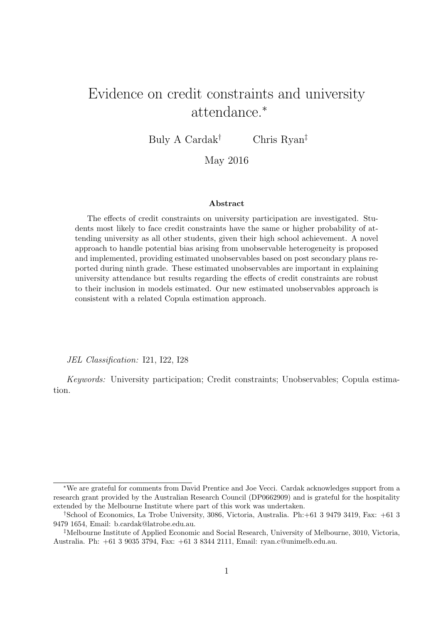# Evidence on credit constraints and university attendance.<sup>∗</sup>

Buly A Cardak<sup>†</sup> Chris Ryan<sup>‡</sup>

## May 2016

#### Abstract

The effects of credit constraints on university participation are investigated. Students most likely to face credit constraints have the same or higher probability of attending university as all other students, given their high school achievement. A novel approach to handle potential bias arising from unobservable heterogeneity is proposed and implemented, providing estimated unobservables based on post secondary plans reported during ninth grade. These estimated unobservables are important in explaining university attendance but results regarding the effects of credit constraints are robust to their inclusion in models estimated. Our new estimated unobservables approach is consistent with a related Copula estimation approach.

JEL Classification: I21, I22, I28

Keywords: University participation; Credit constraints; Unobservables; Copula estimation.

<sup>∗</sup>We are grateful for comments from David Prentice and Joe Vecci. Cardak acknowledges support from a research grant provided by the Australian Research Council (DP0662909) and is grateful for the hospitality extended by the Melbourne Institute where part of this work was undertaken.

<sup>†</sup>School of Economics, La Trobe University, 3086, Victoria, Australia. Ph:+61 3 9479 3419, Fax: +61 3 9479 1654, Email: b.cardak@latrobe.edu.au.

<sup>‡</sup>Melbourne Institute of Applied Economic and Social Research, University of Melbourne, 3010, Victoria, Australia. Ph: +61 3 9035 3794, Fax: +61 3 8344 2111, Email: ryan.c@unimelb.edu.au.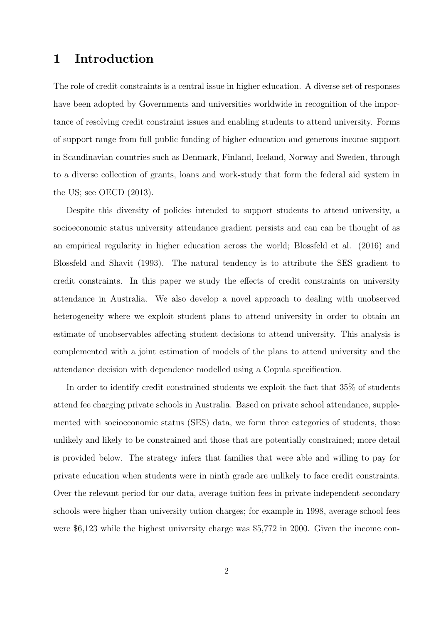## 1 Introduction

The role of credit constraints is a central issue in higher education. A diverse set of responses have been adopted by Governments and universities worldwide in recognition of the importance of resolving credit constraint issues and enabling students to attend university. Forms of support range from full public funding of higher education and generous income support in Scandinavian countries such as Denmark, Finland, Iceland, Norway and Sweden, through to a diverse collection of grants, loans and work-study that form the federal aid system in the US; see OECD (2013).

Despite this diversity of policies intended to support students to attend university, a socioeconomic status university attendance gradient persists and can can be thought of as an empirical regularity in higher education across the world; Blossfeld et al. (2016) and Blossfeld and Shavit (1993). The natural tendency is to attribute the SES gradient to credit constraints. In this paper we study the effects of credit constraints on university attendance in Australia. We also develop a novel approach to dealing with unobserved heterogeneity where we exploit student plans to attend university in order to obtain an estimate of unobservables affecting student decisions to attend university. This analysis is complemented with a joint estimation of models of the plans to attend university and the attendance decision with dependence modelled using a Copula specification.

In order to identify credit constrained students we exploit the fact that 35% of students attend fee charging private schools in Australia. Based on private school attendance, supplemented with socioeconomic status (SES) data, we form three categories of students, those unlikely and likely to be constrained and those that are potentially constrained; more detail is provided below. The strategy infers that families that were able and willing to pay for private education when students were in ninth grade are unlikely to face credit constraints. Over the relevant period for our data, average tuition fees in private independent secondary schools were higher than university tution charges; for example in 1998, average school fees were \$6,123 while the highest university charge was \$5,772 in 2000. Given the income con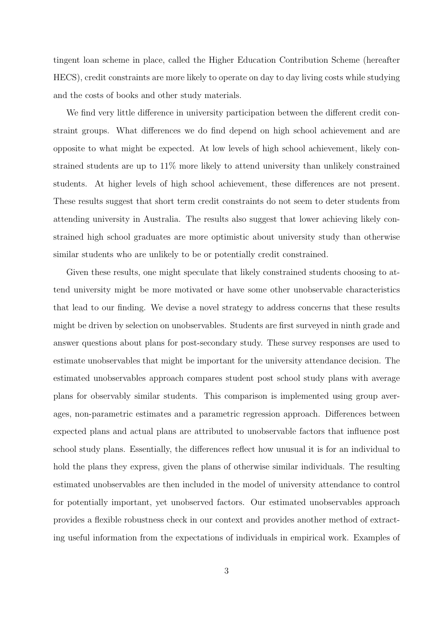tingent loan scheme in place, called the Higher Education Contribution Scheme (hereafter HECS), credit constraints are more likely to operate on day to day living costs while studying and the costs of books and other study materials.

We find very little difference in university participation between the different credit constraint groups. What differences we do find depend on high school achievement and are opposite to what might be expected. At low levels of high school achievement, likely constrained students are up to 11% more likely to attend university than unlikely constrained students. At higher levels of high school achievement, these differences are not present. These results suggest that short term credit constraints do not seem to deter students from attending university in Australia. The results also suggest that lower achieving likely constrained high school graduates are more optimistic about university study than otherwise similar students who are unlikely to be or potentially credit constrained.

Given these results, one might speculate that likely constrained students choosing to attend university might be more motivated or have some other unobservable characteristics that lead to our finding. We devise a novel strategy to address concerns that these results might be driven by selection on unobservables. Students are first surveyed in ninth grade and answer questions about plans for post-secondary study. These survey responses are used to estimate unobservables that might be important for the university attendance decision. The estimated unobservables approach compares student post school study plans with average plans for observably similar students. This comparison is implemented using group averages, non-parametric estimates and a parametric regression approach. Differences between expected plans and actual plans are attributed to unobservable factors that influence post school study plans. Essentially, the differences reflect how unusual it is for an individual to hold the plans they express, given the plans of otherwise similar individuals. The resulting estimated unobservables are then included in the model of university attendance to control for potentially important, yet unobserved factors. Our estimated unobservables approach provides a flexible robustness check in our context and provides another method of extracting useful information from the expectations of individuals in empirical work. Examples of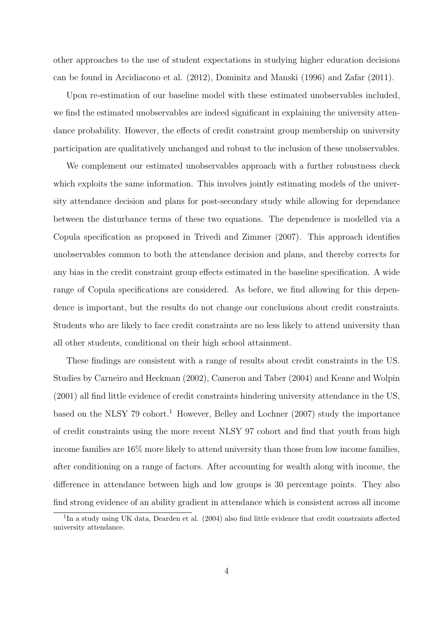other approaches to the use of student expectations in studying higher education decisions can be found in Arcidiacono et al. (2012), Dominitz and Manski (1996) and Zafar (2011).

Upon re-estimation of our baseline model with these estimated unobservables included, we find the estimated unobservables are indeed significant in explaining the university attendance probability. However, the effects of credit constraint group membership on university participation are qualitatively unchanged and robust to the inclusion of these unobservables.

We complement our estimated unobservables approach with a further robustness check which exploits the same information. This involves jointly estimating models of the university attendance decision and plans for post-secondary study while allowing for dependance between the disturbance terms of these two equations. The dependence is modelled via a Copula specification as proposed in Trivedi and Zimmer (2007). This approach identifies unobservables common to both the attendance decision and plans, and thereby corrects for any bias in the credit constraint group effects estimated in the baseline specification. A wide range of Copula specifications are considered. As before, we find allowing for this dependence is important, but the results do not change our conclusions about credit constraints. Students who are likely to face credit constraints are no less likely to attend university than all other students, conditional on their high school attainment.

These findings are consistent with a range of results about credit constraints in the US. Studies by Carneiro and Heckman (2002), Cameron and Taber (2004) and Keane and Wolpin (2001) all find little evidence of credit constraints hindering university attendance in the US, based on the NLSY 79 cohort.<sup>1</sup> However, Belley and Lochner (2007) study the importance of credit constraints using the more recent NLSY 97 cohort and find that youth from high income families are 16% more likely to attend university than those from low income families, after conditioning on a range of factors. After accounting for wealth along with income, the difference in attendance between high and low groups is 30 percentage points. They also find strong evidence of an ability gradient in attendance which is consistent across all income

<sup>&</sup>lt;sup>1</sup>In a study using UK data, Dearden et al. (2004) also find little evidence that credit constraints affected university attendance.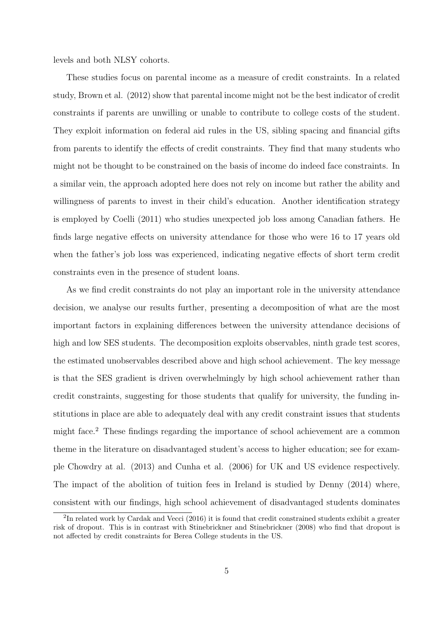levels and both NLSY cohorts.

These studies focus on parental income as a measure of credit constraints. In a related study, Brown et al. (2012) show that parental income might not be the best indicator of credit constraints if parents are unwilling or unable to contribute to college costs of the student. They exploit information on federal aid rules in the US, sibling spacing and financial gifts from parents to identify the effects of credit constraints. They find that many students who might not be thought to be constrained on the basis of income do indeed face constraints. In a similar vein, the approach adopted here does not rely on income but rather the ability and willingness of parents to invest in their child's education. Another identification strategy is employed by Coelli (2011) who studies unexpected job loss among Canadian fathers. He finds large negative effects on university attendance for those who were 16 to 17 years old when the father's job loss was experienced, indicating negative effects of short term credit constraints even in the presence of student loans.

As we find credit constraints do not play an important role in the university attendance decision, we analyse our results further, presenting a decomposition of what are the most important factors in explaining differences between the university attendance decisions of high and low SES students. The decomposition exploits observables, ninth grade test scores, the estimated unobservables described above and high school achievement. The key message is that the SES gradient is driven overwhelmingly by high school achievement rather than credit constraints, suggesting for those students that qualify for university, the funding institutions in place are able to adequately deal with any credit constraint issues that students might face.<sup>2</sup> These findings regarding the importance of school achievement are a common theme in the literature on disadvantaged student's access to higher education; see for example Chowdry at al. (2013) and Cunha et al. (2006) for UK and US evidence respectively. The impact of the abolition of tuition fees in Ireland is studied by Denny (2014) where, consistent with our findings, high school achievement of disadvantaged students dominates

<sup>&</sup>lt;sup>2</sup>In related work by Cardak and Vecci (2016) it is found that credit constrained students exhibit a greater risk of dropout. This is in contrast with Stinebrickner and Stinebrickner (2008) who find that dropout is not affected by credit constraints for Berea College students in the US.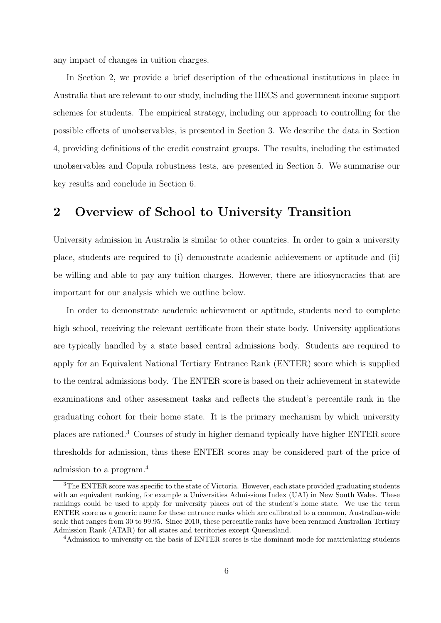any impact of changes in tuition charges.

In Section 2, we provide a brief description of the educational institutions in place in Australia that are relevant to our study, including the HECS and government income support schemes for students. The empirical strategy, including our approach to controlling for the possible effects of unobservables, is presented in Section 3. We describe the data in Section 4, providing definitions of the credit constraint groups. The results, including the estimated unobservables and Copula robustness tests, are presented in Section 5. We summarise our key results and conclude in Section 6.

# 2 Overview of School to University Transition

University admission in Australia is similar to other countries. In order to gain a university place, students are required to (i) demonstrate academic achievement or aptitude and (ii) be willing and able to pay any tuition charges. However, there are idiosyncracies that are important for our analysis which we outline below.

In order to demonstrate academic achievement or aptitude, students need to complete high school, receiving the relevant certificate from their state body. University applications are typically handled by a state based central admissions body. Students are required to apply for an Equivalent National Tertiary Entrance Rank (ENTER) score which is supplied to the central admissions body. The ENTER score is based on their achievement in statewide examinations and other assessment tasks and reflects the student's percentile rank in the graduating cohort for their home state. It is the primary mechanism by which university places are rationed.<sup>3</sup> Courses of study in higher demand typically have higher ENTER score thresholds for admission, thus these ENTER scores may be considered part of the price of admission to a program.<sup>4</sup>

<sup>&</sup>lt;sup>3</sup>The ENTER score was specific to the state of Victoria. However, each state provided graduating students with an equivalent ranking, for example a Universities Admissions Index (UAI) in New South Wales. These rankings could be used to apply for university places out of the student's home state. We use the term ENTER score as a generic name for these entrance ranks which are calibrated to a common, Australian-wide scale that ranges from 30 to 99.95. Since 2010, these percentile ranks have been renamed Australian Tertiary Admission Rank (ATAR) for all states and territories except Queensland.

<sup>&</sup>lt;sup>4</sup>Admission to university on the basis of ENTER scores is the dominant mode for matriculating students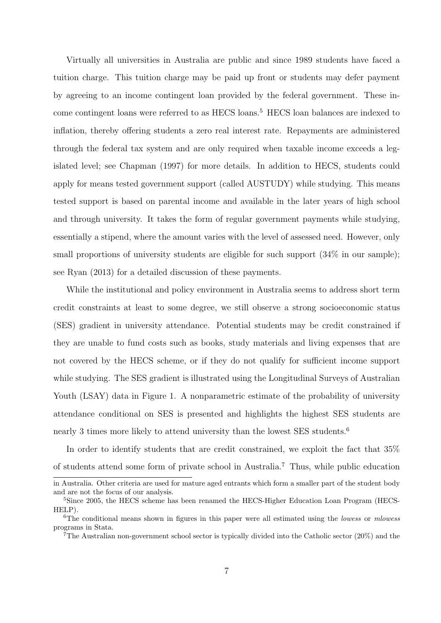Virtually all universities in Australia are public and since 1989 students have faced a tuition charge. This tuition charge may be paid up front or students may defer payment by agreeing to an income contingent loan provided by the federal government. These income contingent loans were referred to as HECS loans.<sup>5</sup> HECS loan balances are indexed to inflation, thereby offering students a zero real interest rate. Repayments are administered through the federal tax system and are only required when taxable income exceeds a legislated level; see Chapman (1997) for more details. In addition to HECS, students could apply for means tested government support (called AUSTUDY) while studying. This means tested support is based on parental income and available in the later years of high school and through university. It takes the form of regular government payments while studying, essentially a stipend, where the amount varies with the level of assessed need. However, only small proportions of university students are eligible for such support  $(34\%$  in our sample); see Ryan (2013) for a detailed discussion of these payments.

While the institutional and policy environment in Australia seems to address short term credit constraints at least to some degree, we still observe a strong socioeconomic status (SES) gradient in university attendance. Potential students may be credit constrained if they are unable to fund costs such as books, study materials and living expenses that are not covered by the HECS scheme, or if they do not qualify for sufficient income support while studying. The SES gradient is illustrated using the Longitudinal Surveys of Australian Youth (LSAY) data in Figure 1. A nonparametric estimate of the probability of university attendance conditional on SES is presented and highlights the highest SES students are nearly 3 times more likely to attend university than the lowest SES students.<sup>6</sup>

In order to identify students that are credit constrained, we exploit the fact that 35% of students attend some form of private school in Australia.<sup>7</sup> Thus, while public education

in Australia. Other criteria are used for mature aged entrants which form a smaller part of the student body and are not the focus of our analysis.

<sup>5</sup>Since 2005, the HECS scheme has been renamed the HECS-Higher Education Loan Program (HECS-HELP).

 $6$ The conditional means shown in figures in this paper were all estimated using the lowess or mlowess programs in Stata.

<sup>7</sup>The Australian non-government school sector is typically divided into the Catholic sector (20%) and the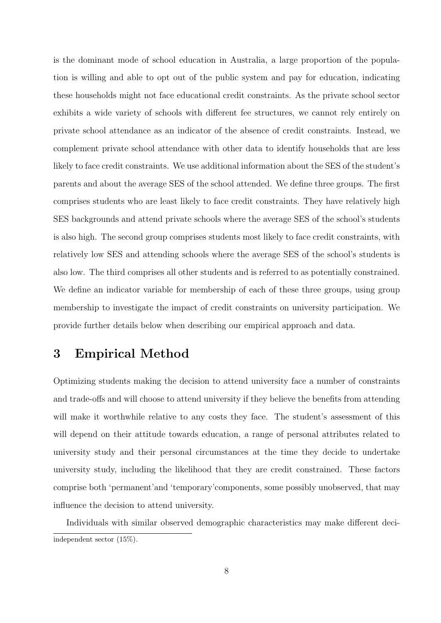is the dominant mode of school education in Australia, a large proportion of the population is willing and able to opt out of the public system and pay for education, indicating these households might not face educational credit constraints. As the private school sector exhibits a wide variety of schools with different fee structures, we cannot rely entirely on private school attendance as an indicator of the absence of credit constraints. Instead, we complement private school attendance with other data to identify households that are less likely to face credit constraints. We use additional information about the SES of the student's parents and about the average SES of the school attended. We define three groups. The first comprises students who are least likely to face credit constraints. They have relatively high SES backgrounds and attend private schools where the average SES of the school's students is also high. The second group comprises students most likely to face credit constraints, with relatively low SES and attending schools where the average SES of the school's students is also low. The third comprises all other students and is referred to as potentially constrained. We define an indicator variable for membership of each of these three groups, using group membership to investigate the impact of credit constraints on university participation. We provide further details below when describing our empirical approach and data.

## 3 Empirical Method

Optimizing students making the decision to attend university face a number of constraints and trade-offs and will choose to attend university if they believe the benefits from attending will make it worthwhile relative to any costs they face. The student's assessment of this will depend on their attitude towards education, a range of personal attributes related to university study and their personal circumstances at the time they decide to undertake university study, including the likelihood that they are credit constrained. These factors comprise both 'permanent'and 'temporary'components, some possibly unobserved, that may influence the decision to attend university.

Individuals with similar observed demographic characteristics may make different deciindependent sector (15%).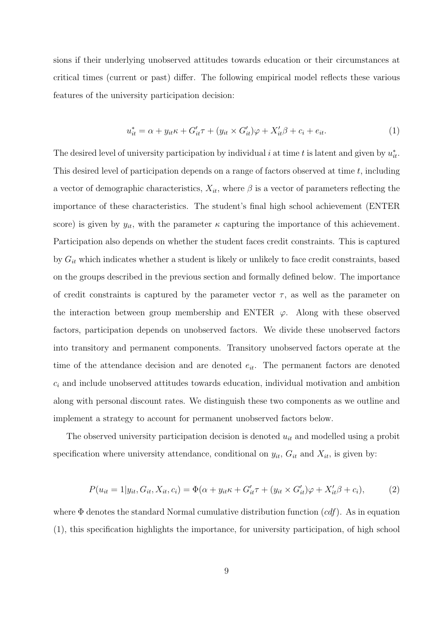sions if their underlying unobserved attitudes towards education or their circumstances at critical times (current or past) differ. The following empirical model reflects these various features of the university participation decision:

$$
u_{it}^* = \alpha + y_{it}\kappa + G'_{it}\tau + (y_{it} \times G'_{it})\varphi + X'_{it}\beta + c_i + e_{it}.
$$
\n
$$
\tag{1}
$$

The desired level of university participation by individual i at time t is latent and given by  $u_{it}^*$ . This desired level of participation depends on a range of factors observed at time t, including a vector of demographic characteristics,  $X_{it}$ , where  $\beta$  is a vector of parameters reflecting the importance of these characteristics. The student's final high school achievement (ENTER score) is given by  $y_{it}$ , with the parameter  $\kappa$  capturing the importance of this achievement. Participation also depends on whether the student faces credit constraints. This is captured by  $G_{it}$  which indicates whether a student is likely or unlikely to face credit constraints, based on the groups described in the previous section and formally defined below. The importance of credit constraints is captured by the parameter vector  $\tau$ , as well as the parameter on the interaction between group membership and ENTER  $\varphi$ . Along with these observed factors, participation depends on unobserved factors. We divide these unobserved factors into transitory and permanent components. Transitory unobserved factors operate at the time of the attendance decision and are denoted  $e_{it}$ . The permanent factors are denoted  $c_i$  and include unobserved attitudes towards education, individual motivation and ambition along with personal discount rates. We distinguish these two components as we outline and implement a strategy to account for permanent unobserved factors below.

The observed university participation decision is denoted  $u_{it}$  and modelled using a probit specification where university attendance, conditional on  $y_{it}$ ,  $G_{it}$  and  $X_{it}$ , is given by:

$$
P(u_{it} = 1|y_{it}, G_{it}, X_{it}, c_i) = \Phi(\alpha + y_{it}\kappa + G'_{it}\tau + (y_{it} \times G'_{it})\varphi + X'_{it}\beta + c_i),
$$
(2)

where  $\Phi$  denotes the standard Normal cumulative distribution function  $(cdf)$ . As in equation (1), this specification highlights the importance, for university participation, of high school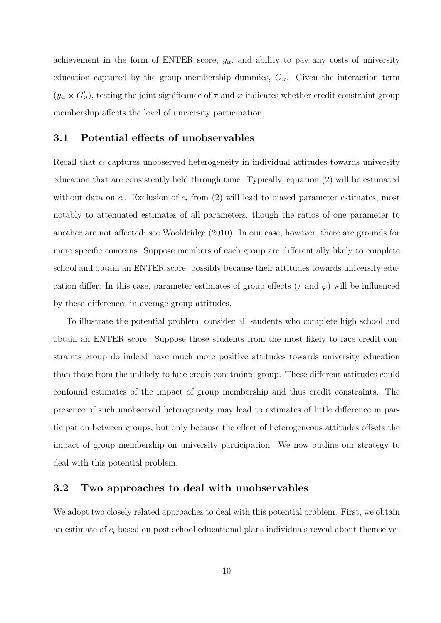achievement in the form of ENTER score,  $y_{it}$ , and ability to pay any costs of university education captured by the group membership dummies,  $G_{it}$ . Given the interaction term  $(y_{it} \times G'_{it})$ , testing the joint significance of  $\tau$  and  $\varphi$  indicates whether credit constraint group membership affects the level of university participation.

### 3.1 Potential effects of unobservables

Recall that  $c_i$  captures unobserved heterogeneity in individual attitudes towards university education that are consistently held through time. Typically, equation (2) will be estimated without data on  $c_i$ . Exclusion of  $c_i$  from (2) will lead to biased parameter estimates, most notably to attenuated estimates of all parameters, though the ratios of one parameter to another are not affected; see Wooldridge (2010). In our case, however, there are grounds for more specific concerns. Suppose members of each group are differentially likely to complete school and obtain an ENTER score, possibly because their attitudes towards university education differ. In this case, parameter estimates of group effects ( $\tau$  and  $\varphi$ ) will be influenced by these differences in average group attitudes.

To illustrate the potential problem, consider all students who complete high school and obtain an ENTER score. Suppose those students from the most likely to face credit constraints group do indeed have much more positive attitudes towards university education than those from the unlikely to face credit constraints group. These different attitudes could confound estimates of the impact of group membership and thus credit constraints. The presence of such unobserved heterogeneity may lead to estimates of little difference in participation between groups, but only because the effect of heterogeneous attitudes offsets the impact of group membership on university participation. We now outline our strategy to deal with this potential problem.

### 3.2 Two approaches to deal with unobservables

We adopt two closely related approaches to deal with this potential problem. First, we obtain an estimate of  $c_i$  based on post school educational plans individuals reveal about themselves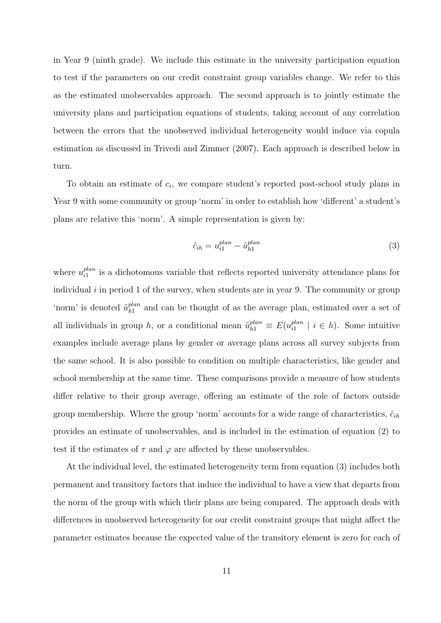in Year 9 (ninth grade). We include this estimate in the university participation equation to test if the parameters on our credit constraint group variables change. We refer to this as the estimated unobservables approach. The second approach is to jointly estimate the university plans and participation equations of students, taking account of any correlation between the errors that the unobserved individual heterogeneity would induce via copula estimation as discussed in Trivedi and Zimmer (2007). Each approach is described below in turn.

To obtain an estimate of  $c_i$ , we compare student's reported post-school study plans in Year 9 with some community or group 'norm' in order to establish how 'different' a student's plans are relative this 'norm'. A simple representation is given by:

$$
\hat{c}_{ih} = u_{i1}^{plan} - \tilde{u}_{h1}^{plan} \tag{3}
$$

where  $u_{i1}^{plan}$  $\mathbb{R}^{plan}_{i1}$  is a dichotomous variable that reflects reported university attendance plans for individual  $i$  in period 1 of the survey, when students are in year 9. The community or group 'norm' is denoted  $\tilde{u}_{h1}^{plan}$  $h_1^{plan}$  and can be thought of as the average plan, estimated over a set of all individuals in group h, or a conditional mean  $\tilde{u}_{h1}^{plan} \equiv E(u_{i1}^{plan})$  $i_1^{plan} \mid i \in h$ ). Some intuitive examples include average plans by gender or average plans across all survey subjects from the same school. It is also possible to condition on multiple characteristics, like gender and school membership at the same time. These comparisons provide a measure of how students differ relative to their group average, offering an estimate of the role of factors outside group membership. Where the group 'norm' accounts for a wide range of characteristics,  $\hat{c}_{ih}$ provides an estimate of unobservables, and is included in the estimation of equation (2) to test if the estimates of  $\tau$  and  $\varphi$  are affected by these unobservables.

At the individual level, the estimated heterogeneity term from equation (3) includes both permanent and transitory factors that induce the individual to have a view that departs from the norm of the group with which their plans are being compared. The approach deals with differences in unobserved heterogeneity for our credit constraint groups that might affect the parameter estimates because the expected value of the transitory element is zero for each of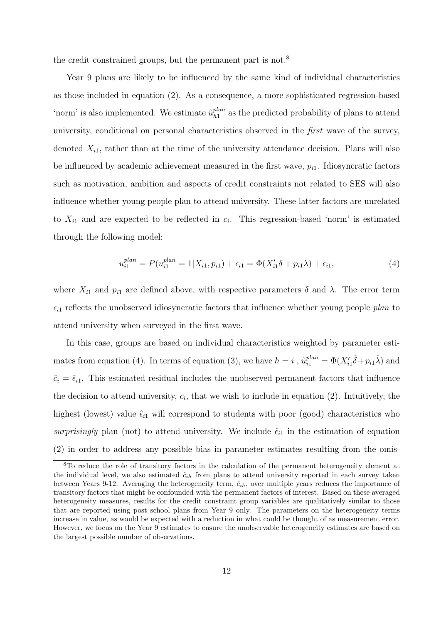the credit constrained groups, but the permanent part is not.<sup>8</sup>

Year 9 plans are likely to be influenced by the same kind of individual characteristics as those included in equation (2). As a consequence, a more sophisticated regression-based 'norm' is also implemented. We estimate  $\tilde{u}_{h_1}^{plan}$  $h_1^{plan}$  as the predicted probability of plans to attend university, conditional on personal characteristics observed in the first wave of the survey, denoted  $X_{i1}$ , rather than at the time of the university attendance decision. Plans will also be influenced by academic achievement measured in the first wave,  $p_{i1}$ . Idiosyncratic factors such as motivation, ambition and aspects of credit constraints not related to SES will also influence whether young people plan to attend university. These latter factors are unrelated to  $X_{i1}$  and are expected to be reflected in  $c_i$ . This regression-based 'norm' is estimated through the following model:

$$
u_{i1}^{plan} = P(u_{i1}^{plan} = 1 | X_{i1}, p_{i1}) + \epsilon_{i1} = \Phi(X_{i1}'\delta + p_{i1}\lambda) + \epsilon_{i1},
$$
\n(4)

where  $X_{i1}$  and  $p_{i1}$  are defined above, with respective parameters  $\delta$  and  $\lambda$ . The error term  $\epsilon_{i1}$  reflects the unobserved idiosyncratic factors that influence whether young people plan to attend university when surveyed in the first wave.

In this case, groups are based on individual characteristics weighted by parameter estimates from equation (4). In terms of equation (3), we have  $h = i$ ,  $\tilde{u}_{i1}^{plan} = \Phi(X_{i1}'\hat{\delta} + p_{i1}\hat{\lambda})$  and  $\hat{c}_i = \hat{\epsilon}_{i1}$ . This estimated residual includes the unobserved permanent factors that influence the decision to attend university,  $c_i$ , that we wish to include in equation (2). Intuitively, the highest (lowest) value  $\hat{\epsilon}_{i1}$  will correspond to students with poor (good) characteristics who surprisingly plan (not) to attend university. We include  $\hat{\epsilon}_{i1}$  in the estimation of equation (2) in order to address any possible bias in parameter estimates resulting from the omis-

<sup>8</sup>To reduce the role of transitory factors in the calculation of the permanent heterogeneity element at the individual level, we also estimated  $\hat{c}_{ih}$  from plans to attend university reported in each survey taken between Years 9-12. Averaging the heterogeneity term,  $\hat{c}_{ih}$ , over multiple years reduces the importance of transitory factors that might be confounded with the permanent factors of interest. Based on these averaged heterogeneity measures, results for the credit constraint group variables are qualitatively similar to those that are reported using post school plans from Year 9 only. The parameters on the heterogeneity terms increase in value, as would be expected with a reduction in what could be thought of as measurement error. However, we focus on the Year 9 estimates to ensure the unobservable heterogeneity estimates are based on the largest possible number of observations.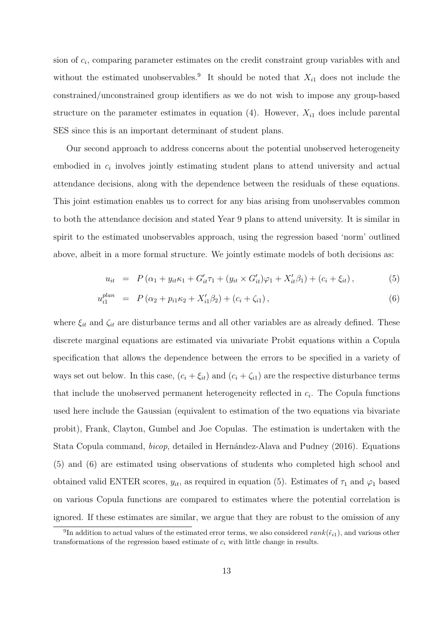sion of  $c_i$ , comparing parameter estimates on the credit constraint group variables with and without the estimated unobservables.<sup>9</sup> It should be noted that  $X_{i1}$  does not include the constrained/unconstrained group identifiers as we do not wish to impose any group-based structure on the parameter estimates in equation  $(4)$ . However,  $X_{i1}$  does include parental SES since this is an important determinant of student plans.

Our second approach to address concerns about the potential unobserved heterogeneity embodied in  $c_i$  involves jointly estimating student plans to attend university and actual attendance decisions, along with the dependence between the residuals of these equations. This joint estimation enables us to correct for any bias arising from unobservables common to both the attendance decision and stated Year 9 plans to attend university. It is similar in spirit to the estimated unobservables approach, using the regression based 'norm' outlined above, albeit in a more formal structure. We jointly estimate models of both decisions as:

$$
u_{it} = P(\alpha_1 + y_{it}\kappa_1 + G'_{it}\tau_1 + (y_{it} \times G'_{it})\varphi_1 + X'_{it}\beta_1) + (c_i + \xi_{it}), \qquad (5)
$$

$$
u_{i1}^{plan} = P(\alpha_2 + p_{i1}\kappa_2 + X'_{i1}\beta_2) + (c_i + \zeta_{i1}), \qquad (6)
$$

where  $\xi_{it}$  and  $\zeta_{it}$  are disturbance terms and all other variables are as already defined. These discrete marginal equations are estimated via univariate Probit equations within a Copula specification that allows the dependence between the errors to be specified in a variety of ways set out below. In this case,  $(c_i + \xi_{it})$  and  $(c_i + \zeta_{i1})$  are the respective disturbance terms that include the unobserved permanent heterogeneity reflected in  $c_i$ . The Copula functions used here include the Gaussian (equivalent to estimation of the two equations via bivariate probit), Frank, Clayton, Gumbel and Joe Copulas. The estimation is undertaken with the Stata Copula command, *bicop*, detailed in Hernández-Alava and Pudney (2016). Equations (5) and (6) are estimated using observations of students who completed high school and obtained valid ENTER scores,  $y_{it}$ , as required in equation (5). Estimates of  $\tau_1$  and  $\varphi_1$  based on various Copula functions are compared to estimates where the potential correlation is ignored. If these estimates are similar, we argue that they are robust to the omission of any

<sup>&</sup>lt;sup>9</sup>In addition to actual values of the estimated error terms, we also considered  $rank(\hat{\epsilon}_{i1})$ , and various other transformations of the regression based estimate of  $c_i$  with little change in results.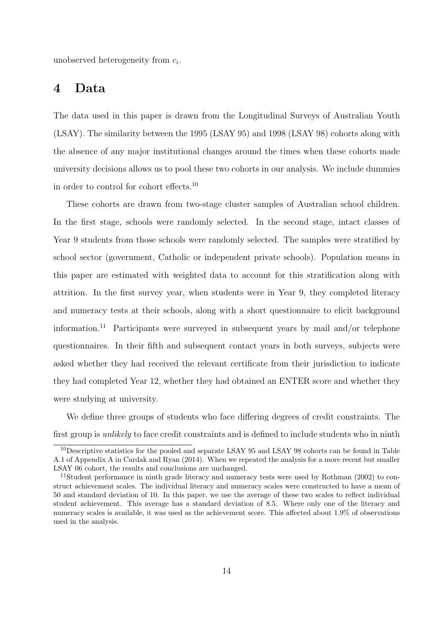unobserved heterogeneity from  $c_i$ .

## 4 Data

The data used in this paper is drawn from the Longitudinal Surveys of Australian Youth (LSAY). The similarity between the 1995 (LSAY 95) and 1998 (LSAY 98) cohorts along with the absence of any major institutional changes around the times when these cohorts made university decisions allows us to pool these two cohorts in our analysis. We include dummies in order to control for cohort effects.<sup>10</sup>

These cohorts are drawn from two-stage cluster samples of Australian school children. In the first stage, schools were randomly selected. In the second stage, intact classes of Year 9 students from those schools were randomly selected. The samples were stratified by school sector (government, Catholic or independent private schools). Population means in this paper are estimated with weighted data to account for this stratification along with attrition. In the first survey year, when students were in Year 9, they completed literacy and numeracy tests at their schools, along with a short questionnaire to elicit background information.<sup>11</sup> Participants were surveyed in subsequent years by mail and/or telephone questionnaires. In their fifth and subsequent contact years in both surveys, subjects were asked whether they had received the relevant certificate from their jurisdiction to indicate they had completed Year 12, whether they had obtained an ENTER score and whether they were studying at university.

We define three groups of students who face differing degrees of credit constraints. The first group is *unlikely* to face credit constraints and is defined to include students who in ninth

<sup>&</sup>lt;sup>10</sup>Descriptive statistics for the pooled and separate LSAY 95 and LSAY 98 cohorts can be found in Table A.1 of Appendix A in Cardak and Ryan (2014). When we repeated the analysis for a more recent but smaller LSAY 06 cohort, the results and conclusions are unchanged.

<sup>11</sup>Student performance in ninth grade literacy and numeracy tests were used by Rothman (2002) to construct achievement scales. The individual literacy and numeracy scales were constructed to have a mean of 50 and standard deviation of 10. In this paper, we use the average of these two scales to reflect individual student achievement. This average has a standard deviation of 8.5. Where only one of the literacy and numeracy scales is available, it was used as the achievement score. This affected about 1.9% of observations used in the analysis.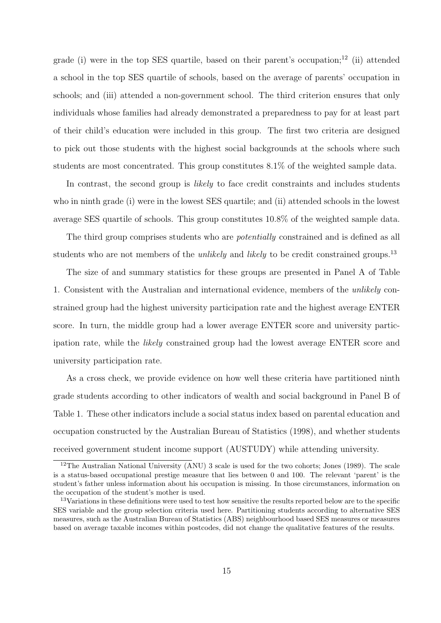grade (i) were in the top SES quartile, based on their parent's occupation;<sup>12</sup> (ii) attended a school in the top SES quartile of schools, based on the average of parents' occupation in schools; and (iii) attended a non-government school. The third criterion ensures that only individuals whose families had already demonstrated a preparedness to pay for at least part of their child's education were included in this group. The first two criteria are designed to pick out those students with the highest social backgrounds at the schools where such students are most concentrated. This group constitutes 8.1% of the weighted sample data.

In contrast, the second group is *likely* to face credit constraints and includes students who in ninth grade (i) were in the lowest SES quartile; and (ii) attended schools in the lowest average SES quartile of schools. This group constitutes 10.8% of the weighted sample data.

The third group comprises students who are *potentially* constrained and is defined as all students who are not members of the *unlikely* and *likely* to be credit constrained groups.<sup>13</sup>

The size of and summary statistics for these groups are presented in Panel A of Table 1. Consistent with the Australian and international evidence, members of the unlikely constrained group had the highest university participation rate and the highest average ENTER score. In turn, the middle group had a lower average ENTER score and university participation rate, while the likely constrained group had the lowest average ENTER score and university participation rate.

As a cross check, we provide evidence on how well these criteria have partitioned ninth grade students according to other indicators of wealth and social background in Panel B of Table 1. These other indicators include a social status index based on parental education and occupation constructed by the Australian Bureau of Statistics (1998), and whether students received government student income support (AUSTUDY) while attending university.

<sup>&</sup>lt;sup>12</sup>The Australian National University (ANU) 3 scale is used for the two cohorts; Jones (1989). The scale is a status-based occupational prestige measure that lies between 0 and 100. The relevant 'parent' is the student's father unless information about his occupation is missing. In those circumstances, information on the occupation of the student's mother is used.

<sup>&</sup>lt;sup>13</sup>Variations in these definitions were used to test how sensitive the results reported below are to the specific SES variable and the group selection criteria used here. Partitioning students according to alternative SES measures, such as the Australian Bureau of Statistics (ABS) neighbourhood based SES measures or measures based on average taxable incomes within postcodes, did not change the qualitative features of the results.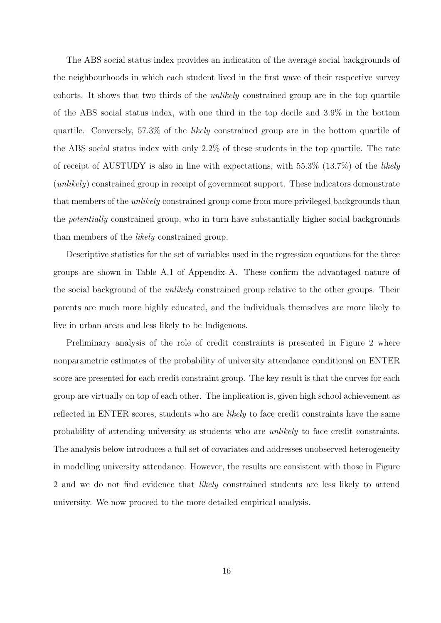The ABS social status index provides an indication of the average social backgrounds of the neighbourhoods in which each student lived in the first wave of their respective survey cohorts. It shows that two thirds of the unlikely constrained group are in the top quartile of the ABS social status index, with one third in the top decile and 3.9% in the bottom quartile. Conversely, 57.3% of the likely constrained group are in the bottom quartile of the ABS social status index with only 2.2% of these students in the top quartile. The rate of receipt of AUSTUDY is also in line with expectations, with  $55.3\%$  (13.7%) of the *likely* (unlikely) constrained group in receipt of government support. These indicators demonstrate that members of the *unlikely* constrained group come from more privileged backgrounds than the potentially constrained group, who in turn have substantially higher social backgrounds than members of the likely constrained group.

Descriptive statistics for the set of variables used in the regression equations for the three groups are shown in Table A.1 of Appendix A. These confirm the advantaged nature of the social background of the unlikely constrained group relative to the other groups. Their parents are much more highly educated, and the individuals themselves are more likely to live in urban areas and less likely to be Indigenous.

Preliminary analysis of the role of credit constraints is presented in Figure 2 where nonparametric estimates of the probability of university attendance conditional on ENTER score are presented for each credit constraint group. The key result is that the curves for each group are virtually on top of each other. The implication is, given high school achievement as reflected in ENTER scores, students who are likely to face credit constraints have the same probability of attending university as students who are unlikely to face credit constraints. The analysis below introduces a full set of covariates and addresses unobserved heterogeneity in modelling university attendance. However, the results are consistent with those in Figure 2 and we do not find evidence that *likely* constrained students are less likely to attend university. We now proceed to the more detailed empirical analysis.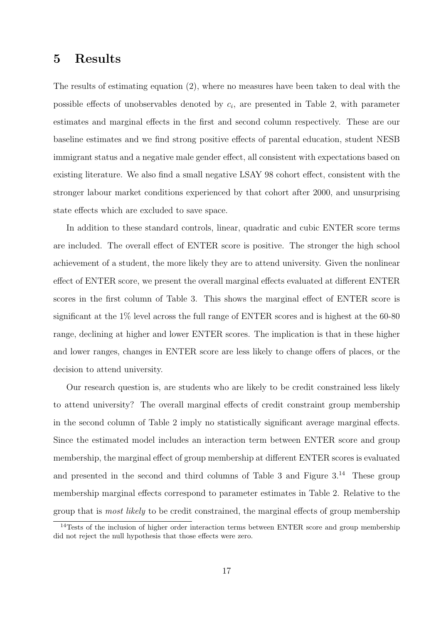## 5 Results

The results of estimating equation (2), where no measures have been taken to deal with the possible effects of unobservables denoted by  $c_i$ , are presented in Table 2, with parameter estimates and marginal effects in the first and second column respectively. These are our baseline estimates and we find strong positive effects of parental education, student NESB immigrant status and a negative male gender effect, all consistent with expectations based on existing literature. We also find a small negative LSAY 98 cohort effect, consistent with the stronger labour market conditions experienced by that cohort after 2000, and unsurprising state effects which are excluded to save space.

In addition to these standard controls, linear, quadratic and cubic ENTER score terms are included. The overall effect of ENTER score is positive. The stronger the high school achievement of a student, the more likely they are to attend university. Given the nonlinear effect of ENTER score, we present the overall marginal effects evaluated at different ENTER scores in the first column of Table 3. This shows the marginal effect of ENTER score is significant at the 1% level across the full range of ENTER scores and is highest at the 60-80 range, declining at higher and lower ENTER scores. The implication is that in these higher and lower ranges, changes in ENTER score are less likely to change offers of places, or the decision to attend university.

Our research question is, are students who are likely to be credit constrained less likely to attend university? The overall marginal effects of credit constraint group membership in the second column of Table 2 imply no statistically significant average marginal effects. Since the estimated model includes an interaction term between ENTER score and group membership, the marginal effect of group membership at different ENTER scores is evaluated and presented in the second and third columns of Table 3 and Figure  $3^{14}$  These group membership marginal effects correspond to parameter estimates in Table 2. Relative to the group that is most likely to be credit constrained, the marginal effects of group membership

<sup>&</sup>lt;sup>14</sup>Tests of the inclusion of higher order interaction terms between ENTER score and group membership did not reject the null hypothesis that those effects were zero.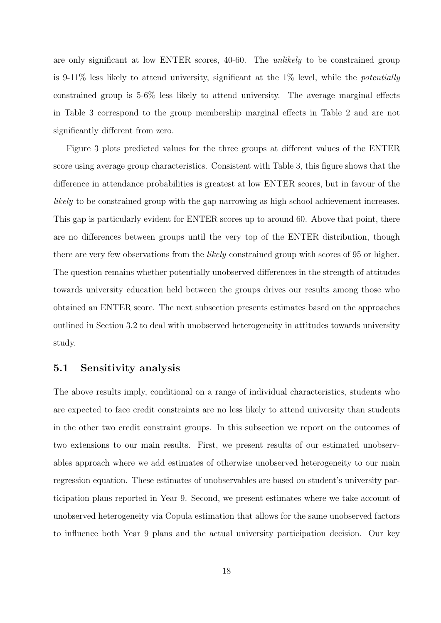are only significant at low ENTER scores, 40-60. The unlikely to be constrained group is 9-11% less likely to attend university, significant at the  $1\%$  level, while the *potentially* constrained group is 5-6% less likely to attend university. The average marginal effects in Table 3 correspond to the group membership marginal effects in Table 2 and are not significantly different from zero.

Figure 3 plots predicted values for the three groups at different values of the ENTER score using average group characteristics. Consistent with Table 3, this figure shows that the difference in attendance probabilities is greatest at low ENTER scores, but in favour of the likely to be constrained group with the gap narrowing as high school achievement increases. This gap is particularly evident for ENTER scores up to around 60. Above that point, there are no differences between groups until the very top of the ENTER distribution, though there are very few observations from the likely constrained group with scores of 95 or higher. The question remains whether potentially unobserved differences in the strength of attitudes towards university education held between the groups drives our results among those who obtained an ENTER score. The next subsection presents estimates based on the approaches outlined in Section 3.2 to deal with unobserved heterogeneity in attitudes towards university study.

## 5.1 Sensitivity analysis

The above results imply, conditional on a range of individual characteristics, students who are expected to face credit constraints are no less likely to attend university than students in the other two credit constraint groups. In this subsection we report on the outcomes of two extensions to our main results. First, we present results of our estimated unobservables approach where we add estimates of otherwise unobserved heterogeneity to our main regression equation. These estimates of unobservables are based on student's university participation plans reported in Year 9. Second, we present estimates where we take account of unobserved heterogeneity via Copula estimation that allows for the same unobserved factors to influence both Year 9 plans and the actual university participation decision. Our key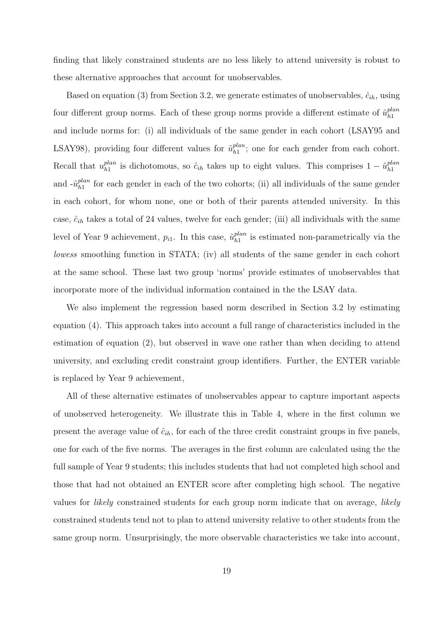finding that likely constrained students are no less likely to attend university is robust to these alternative approaches that account for unobservables.

Based on equation (3) from Section 3.2, we generate estimates of unobservables,  $\hat{c}_{ih}$ , using four different group norms. Each of these group norms provide a different estimate of  $\tilde{u}_{h_1}^{plan}$  $h1$ and include norms for: (i) all individuals of the same gender in each cohort (LSAY95 and LSAY98), providing four different values for  $\tilde{u}_{h1}^{plan}$  $h_1^{plan}$ ; one for each gender from each cohort. Recall that  $u_{h1}^{plan}$  $\hat{p}_{h1}^{lan}$  is dichotomous, so  $\hat{c}_{ih}$  takes up to eight values. This comprises  $1 - \tilde{u}_{h1}^{plan}$  $h1$ and  $-\tilde{u}_{h1}^{plan}$  $h_1^{plan}$  for each gender in each of the two cohorts; (ii) all individuals of the same gender in each cohort, for whom none, one or both of their parents attended university. In this case,  $\hat{c}_{ih}$  takes a total of 24 values, twelve for each gender; (iii) all individuals with the same level of Year 9 achievement,  $p_{i1}$ . In this case,  $\tilde{u}_{h1}^{plan}$  $\frac{plan}{h1}$  is estimated non-parametrically via the lowess smoothing function in STATA; (iv) all students of the same gender in each cohort at the same school. These last two group 'norms' provide estimates of unobservables that incorporate more of the individual information contained in the the LSAY data.

We also implement the regression based norm described in Section 3.2 by estimating equation (4). This approach takes into account a full range of characteristics included in the estimation of equation (2), but observed in wave one rather than when deciding to attend university, and excluding credit constraint group identifiers. Further, the ENTER variable is replaced by Year 9 achievement,

All of these alternative estimates of unobservables appear to capture important aspects of unobserved heterogeneity. We illustrate this in Table 4, where in the first column we present the average value of  $\hat{c}_{ih}$ , for each of the three credit constraint groups in five panels, one for each of the five norms. The averages in the first column are calculated using the the full sample of Year 9 students; this includes students that had not completed high school and those that had not obtained an ENTER score after completing high school. The negative values for likely constrained students for each group norm indicate that on average, likely constrained students tend not to plan to attend university relative to other students from the same group norm. Unsurprisingly, the more observable characteristics we take into account,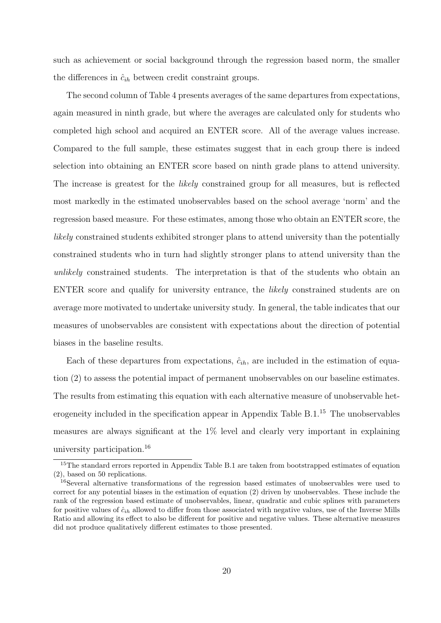such as achievement or social background through the regression based norm, the smaller the differences in  $\hat{c}_{ih}$  between credit constraint groups.

The second column of Table 4 presents averages of the same departures from expectations, again measured in ninth grade, but where the averages are calculated only for students who completed high school and acquired an ENTER score. All of the average values increase. Compared to the full sample, these estimates suggest that in each group there is indeed selection into obtaining an ENTER score based on ninth grade plans to attend university. The increase is greatest for the *likely* constrained group for all measures, but is reflected most markedly in the estimated unobservables based on the school average 'norm' and the regression based measure. For these estimates, among those who obtain an ENTER score, the likely constrained students exhibited stronger plans to attend university than the potentially constrained students who in turn had slightly stronger plans to attend university than the unlikely constrained students. The interpretation is that of the students who obtain an ENTER score and qualify for university entrance, the likely constrained students are on average more motivated to undertake university study. In general, the table indicates that our measures of unobservables are consistent with expectations about the direction of potential biases in the baseline results.

Each of these departures from expectations,  $\hat{c}_{ih}$ , are included in the estimation of equation (2) to assess the potential impact of permanent unobservables on our baseline estimates. The results from estimating this equation with each alternative measure of unobservable heterogeneity included in the specification appear in Appendix Table  $B.1<sup>15</sup>$  The unobservables measures are always significant at the 1% level and clearly very important in explaining university participation.<sup>16</sup>

<sup>&</sup>lt;sup>15</sup>The standard errors reported in Appendix Table B.1 are taken from bootstrapped estimates of equation (2), based on 50 replications.

<sup>&</sup>lt;sup>16</sup>Several alternative transformations of the regression based estimates of unobservables were used to correct for any potential biases in the estimation of equation (2) driven by unobservables. These include the rank of the regression based estimate of unobservables, linear, quadratic and cubic splines with parameters for positive values of  $\hat{c}_{ih}$  allowed to differ from those associated with negative values, use of the Inverse Mills Ratio and allowing its effect to also be different for positive and negative values. These alternative measures did not produce qualitatively different estimates to those presented.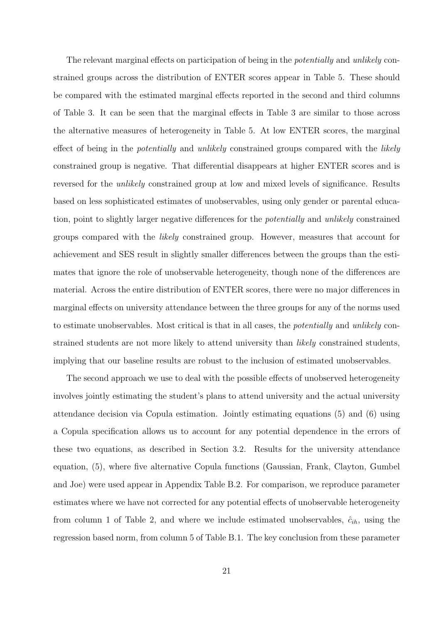The relevant marginal effects on participation of being in the *potentially* and *unlikely* constrained groups across the distribution of ENTER scores appear in Table 5. These should be compared with the estimated marginal effects reported in the second and third columns of Table 3. It can be seen that the marginal effects in Table 3 are similar to those across the alternative measures of heterogeneity in Table 5. At low ENTER scores, the marginal effect of being in the *potentially* and *unlikely* constrained groups compared with the *likely* constrained group is negative. That differential disappears at higher ENTER scores and is reversed for the unlikely constrained group at low and mixed levels of significance. Results based on less sophisticated estimates of unobservables, using only gender or parental education, point to slightly larger negative differences for the potentially and unlikely constrained groups compared with the likely constrained group. However, measures that account for achievement and SES result in slightly smaller differences between the groups than the estimates that ignore the role of unobservable heterogeneity, though none of the differences are material. Across the entire distribution of ENTER scores, there were no major differences in marginal effects on university attendance between the three groups for any of the norms used to estimate unobservables. Most critical is that in all cases, the potentially and unlikely constrained students are not more likely to attend university than likely constrained students, implying that our baseline results are robust to the inclusion of estimated unobservables.

The second approach we use to deal with the possible effects of unobserved heterogeneity involves jointly estimating the student's plans to attend university and the actual university attendance decision via Copula estimation. Jointly estimating equations (5) and (6) using a Copula specification allows us to account for any potential dependence in the errors of these two equations, as described in Section 3.2. Results for the university attendance equation, (5), where five alternative Copula functions (Gaussian, Frank, Clayton, Gumbel and Joe) were used appear in Appendix Table B.2. For comparison, we reproduce parameter estimates where we have not corrected for any potential effects of unobservable heterogeneity from column 1 of Table 2, and where we include estimated unobservables,  $\hat{c}_{ih}$ , using the regression based norm, from column 5 of Table B.1. The key conclusion from these parameter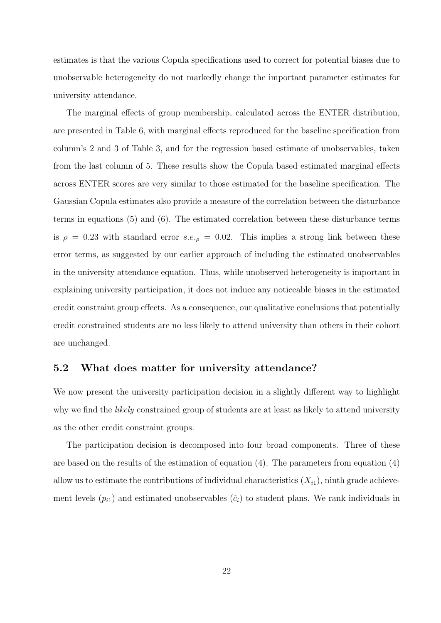estimates is that the various Copula specifications used to correct for potential biases due to unobservable heterogeneity do not markedly change the important parameter estimates for university attendance.

The marginal effects of group membership, calculated across the ENTER distribution, are presented in Table 6, with marginal effects reproduced for the baseline specification from column's 2 and 3 of Table 3, and for the regression based estimate of unobservables, taken from the last column of 5. These results show the Copula based estimated marginal effects across ENTER scores are very similar to those estimated for the baseline specification. The Gaussian Copula estimates also provide a measure of the correlation between the disturbance terms in equations (5) and (6). The estimated correlation between these disturbance terms is  $\rho = 0.23$  with standard error s.e.,  $\rho = 0.02$ . This implies a strong link between these error terms, as suggested by our earlier approach of including the estimated unobservables in the university attendance equation. Thus, while unobserved heterogeneity is important in explaining university participation, it does not induce any noticeable biases in the estimated credit constraint group effects. As a consequence, our qualitative conclusions that potentially credit constrained students are no less likely to attend university than others in their cohort are unchanged.

### 5.2 What does matter for university attendance?

We now present the university participation decision in a slightly different way to highlight why we find the *likely* constrained group of students are at least as likely to attend university as the other credit constraint groups.

The participation decision is decomposed into four broad components. Three of these are based on the results of the estimation of equation  $(4)$ . The parameters from equation  $(4)$ allow us to estimate the contributions of individual characteristics  $(X_{i1})$ , ninth grade achievement levels  $(p_{i1})$  and estimated unobservables  $(\hat{c}_i)$  to student plans. We rank individuals in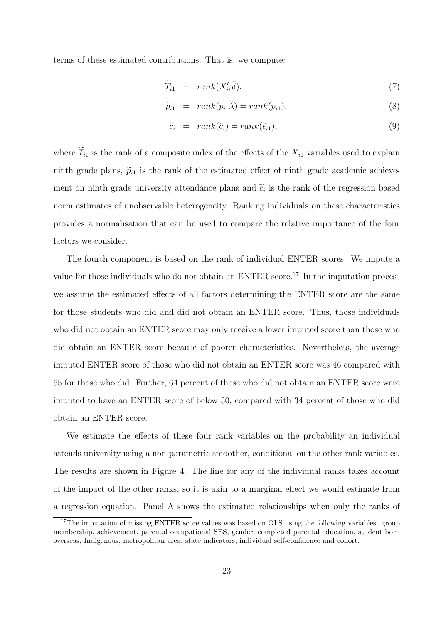terms of these estimated contributions. That is, we compute:

$$
\widetilde{T}_{i1} = rank(X'_{i1}\widehat{\delta}), \tag{7}
$$

$$
\widetilde{p}_{i1} = rank(p_{i1}\hat{\lambda}) = rank(p_{i1}), \qquad (8)
$$

$$
\widetilde{c}_i = rank(\hat{c}_i) = rank(\hat{\epsilon}_{i1}), \qquad (9)
$$

where  $\widetilde{T}_{i1}$  is the rank of a composite index of the effects of the  $X_{i1}$  variables used to explain ninth grade plans,  $\tilde{p}_{i1}$  is the rank of the estimated effect of ninth grade academic achievement on ninth grade university attendance plans and  $\tilde{c}_i$  is the rank of the regression based norm estimates of unobservable heterogeneity. Ranking individuals on these characteristics provides a normalisation that can be used to compare the relative importance of the four factors we consider.

The fourth component is based on the rank of individual ENTER scores. We impute a value for those individuals who do not obtain an ENTER score.<sup>17</sup> In the imputation process we assume the estimated effects of all factors determining the ENTER score are the same for those students who did and did not obtain an ENTER score. Thus, those individuals who did not obtain an ENTER score may only receive a lower imputed score than those who did obtain an ENTER score because of poorer characteristics. Nevertheless, the average imputed ENTER score of those who did not obtain an ENTER score was 46 compared with 65 for those who did. Further, 64 percent of those who did not obtain an ENTER score were imputed to have an ENTER score of below 50, compared with 34 percent of those who did obtain an ENTER score.

We estimate the effects of these four rank variables on the probability an individual attends university using a non-parametric smoother, conditional on the other rank variables. The results are shown in Figure 4. The line for any of the individual ranks takes account of the impact of the other ranks, so it is akin to a marginal effect we would estimate from a regression equation. Panel A shows the estimated relationships when only the ranks of

<sup>&</sup>lt;sup>17</sup>The imputation of missing ENTER score values was based on OLS using the following variables: group membership, achievement, parental occupational SES, gender, completed parental education, student born overseas, Indigenous, metropolitan area, state indicators, individual self-confidence and cohort.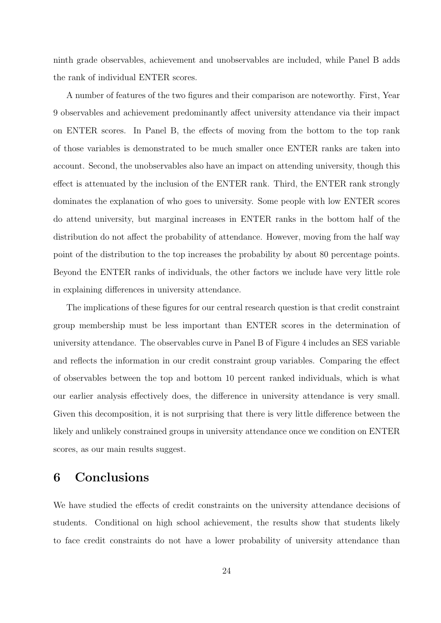ninth grade observables, achievement and unobservables are included, while Panel B adds the rank of individual ENTER scores.

A number of features of the two figures and their comparison are noteworthy. First, Year 9 observables and achievement predominantly affect university attendance via their impact on ENTER scores. In Panel B, the effects of moving from the bottom to the top rank of those variables is demonstrated to be much smaller once ENTER ranks are taken into account. Second, the unobservables also have an impact on attending university, though this effect is attenuated by the inclusion of the ENTER rank. Third, the ENTER rank strongly dominates the explanation of who goes to university. Some people with low ENTER scores do attend university, but marginal increases in ENTER ranks in the bottom half of the distribution do not affect the probability of attendance. However, moving from the half way point of the distribution to the top increases the probability by about 80 percentage points. Beyond the ENTER ranks of individuals, the other factors we include have very little role in explaining differences in university attendance.

The implications of these figures for our central research question is that credit constraint group membership must be less important than ENTER scores in the determination of university attendance. The observables curve in Panel B of Figure 4 includes an SES variable and reflects the information in our credit constraint group variables. Comparing the effect of observables between the top and bottom 10 percent ranked individuals, which is what our earlier analysis effectively does, the difference in university attendance is very small. Given this decomposition, it is not surprising that there is very little difference between the likely and unlikely constrained groups in university attendance once we condition on ENTER scores, as our main results suggest.

## 6 Conclusions

We have studied the effects of credit constraints on the university attendance decisions of students. Conditional on high school achievement, the results show that students likely to face credit constraints do not have a lower probability of university attendance than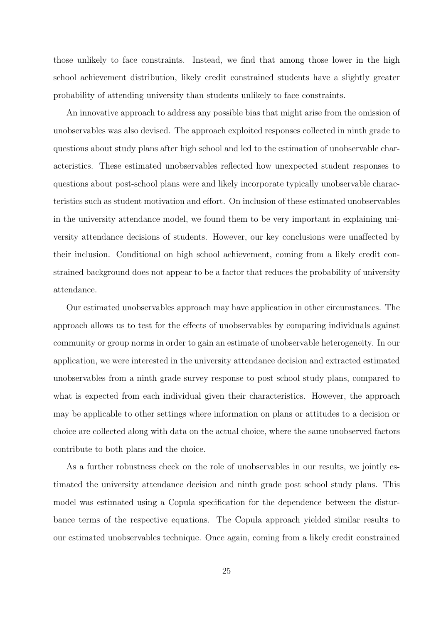those unlikely to face constraints. Instead, we find that among those lower in the high school achievement distribution, likely credit constrained students have a slightly greater probability of attending university than students unlikely to face constraints.

An innovative approach to address any possible bias that might arise from the omission of unobservables was also devised. The approach exploited responses collected in ninth grade to questions about study plans after high school and led to the estimation of unobservable characteristics. These estimated unobservables reflected how unexpected student responses to questions about post-school plans were and likely incorporate typically unobservable characteristics such as student motivation and effort. On inclusion of these estimated unobservables in the university attendance model, we found them to be very important in explaining university attendance decisions of students. However, our key conclusions were unaffected by their inclusion. Conditional on high school achievement, coming from a likely credit constrained background does not appear to be a factor that reduces the probability of university attendance.

Our estimated unobservables approach may have application in other circumstances. The approach allows us to test for the effects of unobservables by comparing individuals against community or group norms in order to gain an estimate of unobservable heterogeneity. In our application, we were interested in the university attendance decision and extracted estimated unobservables from a ninth grade survey response to post school study plans, compared to what is expected from each individual given their characteristics. However, the approach may be applicable to other settings where information on plans or attitudes to a decision or choice are collected along with data on the actual choice, where the same unobserved factors contribute to both plans and the choice.

As a further robustness check on the role of unobservables in our results, we jointly estimated the university attendance decision and ninth grade post school study plans. This model was estimated using a Copula specification for the dependence between the disturbance terms of the respective equations. The Copula approach yielded similar results to our estimated unobservables technique. Once again, coming from a likely credit constrained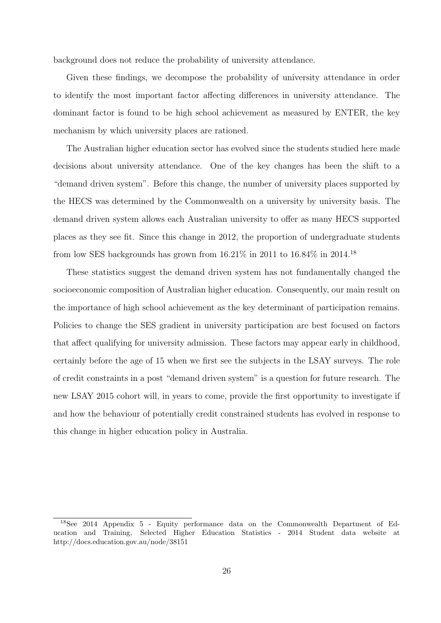background does not reduce the probability of university attendance.

Given these findings, we decompose the probability of university attendance in order to identify the most important factor affecting differences in university attendance. The dominant factor is found to be high school achievement as measured by ENTER, the key mechanism by which university places are rationed.

The Australian higher education sector has evolved since the students studied here made decisions about university attendance. One of the key changes has been the shift to a "demand driven system". Before this change, the number of university places supported by the HECS was determined by the Commonwealth on a university by university basis. The demand driven system allows each Australian university to offer as many HECS supported places as they see fit. Since this change in 2012, the proportion of undergraduate students from low SES backgrounds has grown from  $16.21\%$  in  $2011$  to  $16.84\%$  in  $2014$ .<sup>18</sup>

These statistics suggest the demand driven system has not fundamentally changed the socioeconomic composition of Australian higher education. Consequently, our main result on the importance of high school achievement as the key determinant of participation remains. Policies to change the SES gradient in university participation are best focused on factors that affect qualifying for university admission. These factors may appear early in childhood, certainly before the age of 15 when we first see the subjects in the LSAY surveys. The role of credit constraints in a post "demand driven system" is a question for future research. The new LSAY 2015 cohort will, in years to come, provide the first opportunity to investigate if and how the behaviour of potentially credit constrained students has evolved in response to this change in higher education policy in Australia.

<sup>18</sup>See 2014 Appendix 5 - Equity performance data on the Commonwealth Department of Education and Training, Selected Higher Education Statistics - 2014 Student data website at http://docs.education.gov.au/node/38151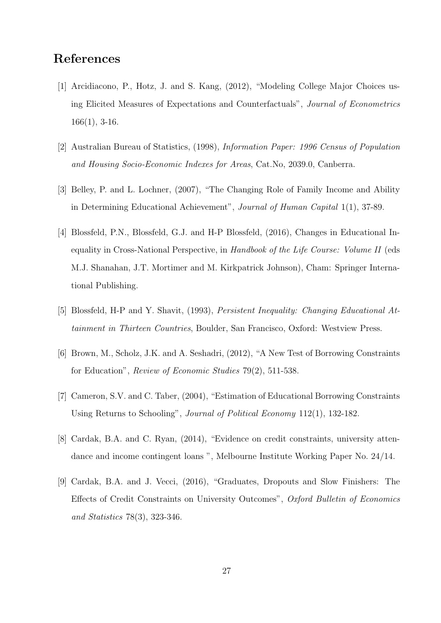# References

- [1] Arcidiacono, P., Hotz, J. and S. Kang, (2012), "Modeling College Major Choices using Elicited Measures of Expectations and Counterfactuals", Journal of Econometrics 166(1), 3-16.
- [2] Australian Bureau of Statistics, (1998), Information Paper: 1996 Census of Population and Housing Socio-Economic Indexes for Areas, Cat.No, 2039.0, Canberra.
- [3] Belley, P. and L. Lochner, (2007), "The Changing Role of Family Income and Ability in Determining Educational Achievement", Journal of Human Capital 1(1), 37-89.
- [4] Blossfeld, P.N., Blossfeld, G.J. and H-P Blossfeld, (2016), Changes in Educational Inequality in Cross-National Perspective, in Handbook of the Life Course: Volume II (eds M.J. Shanahan, J.T. Mortimer and M. Kirkpatrick Johnson), Cham: Springer International Publishing.
- [5] Blossfeld, H-P and Y. Shavit, (1993), Persistent Inequality: Changing Educational Attainment in Thirteen Countries, Boulder, San Francisco, Oxford: Westview Press.
- [6] Brown, M., Scholz, J.K. and A. Seshadri, (2012), "A New Test of Borrowing Constraints for Education", Review of Economic Studies 79(2), 511-538.
- [7] Cameron, S.V. and C. Taber, (2004), "Estimation of Educational Borrowing Constraints Using Returns to Schooling", Journal of Political Economy 112(1), 132-182.
- [8] Cardak, B.A. and C. Ryan, (2014), "Evidence on credit constraints, university attendance and income contingent loans ", Melbourne Institute Working Paper No. 24/14.
- [9] Cardak, B.A. and J. Vecci, (2016), "Graduates, Dropouts and Slow Finishers: The Effects of Credit Constraints on University Outcomes", Oxford Bulletin of Economics and Statistics 78(3), 323-346.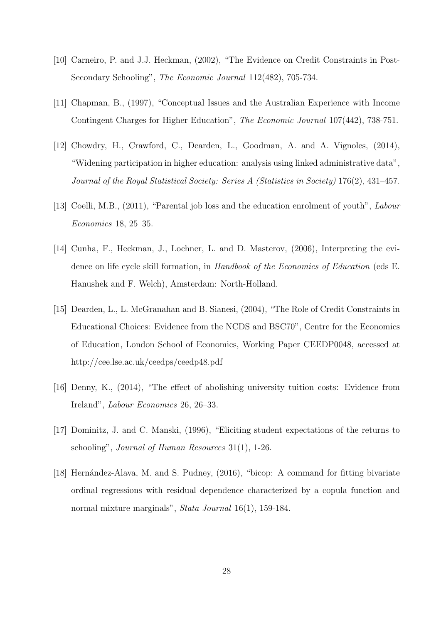- [10] Carneiro, P. and J.J. Heckman, (2002), "The Evidence on Credit Constraints in Post-Secondary Schooling", The Economic Journal 112(482), 705-734.
- [11] Chapman, B., (1997), "Conceptual Issues and the Australian Experience with Income Contingent Charges for Higher Education", The Economic Journal 107(442), 738-751.
- [12] Chowdry, H., Crawford, C., Dearden, L., Goodman, A. and A. Vignoles, (2014), "Widening participation in higher education: analysis using linked administrative data", Journal of the Royal Statistical Society: Series A (Statistics in Society) 176(2), 431–457.
- [13] Coelli, M.B., (2011), "Parental job loss and the education enrolment of youth", Labour Economics 18, 25–35.
- [14] Cunha, F., Heckman, J., Lochner, L. and D. Masterov, (2006), Interpreting the evidence on life cycle skill formation, in Handbook of the Economics of Education (eds E. Hanushek and F. Welch), Amsterdam: North-Holland.
- [15] Dearden, L., L. McGranahan and B. Sianesi, (2004), "The Role of Credit Constraints in Educational Choices: Evidence from the NCDS and BSC70", Centre for the Economics of Education, London School of Economics, Working Paper CEEDP0048, accessed at http://cee.lse.ac.uk/ceedps/ceedp48.pdf
- [16] Denny, K., (2014), "The effect of abolishing university tuition costs: Evidence from Ireland", Labour Economics 26, 26–33.
- [17] Dominitz, J. and C. Manski, (1996), "Eliciting student expectations of the returns to schooling", Journal of Human Resources 31(1), 1-26.
- [18] Hernández-Alava, M. and S. Pudney, (2016), "bicop: A command for fitting bivariate ordinal regressions with residual dependence characterized by a copula function and normal mixture marginals", Stata Journal 16(1), 159-184.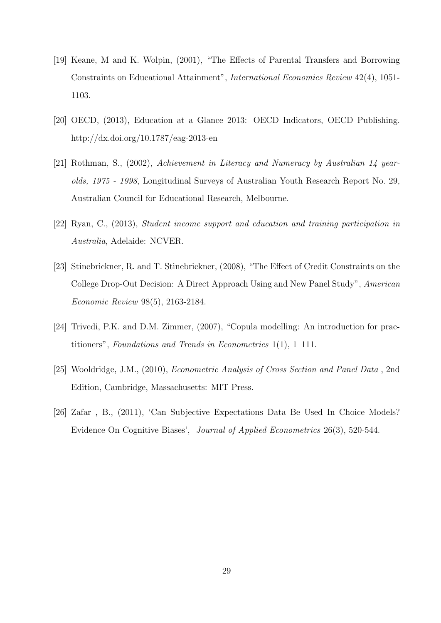- [19] Keane, M and K. Wolpin, (2001), "The Effects of Parental Transfers and Borrowing Constraints on Educational Attainment", International Economics Review 42(4), 1051- 1103.
- [20] OECD, (2013), Education at a Glance 2013: OECD Indicators, OECD Publishing. http://dx.doi.org/10.1787/eag-2013-en
- [21] Rothman, S., (2002), Achievement in Literacy and Numeracy by Australian 14 yearolds, 1975 - 1998, Longitudinal Surveys of Australian Youth Research Report No. 29, Australian Council for Educational Research, Melbourne.
- [22] Ryan, C., (2013), Student income support and education and training participation in Australia, Adelaide: NCVER.
- [23] Stinebrickner, R. and T. Stinebrickner, (2008), "The Effect of Credit Constraints on the College Drop-Out Decision: A Direct Approach Using and New Panel Study", American Economic Review 98(5), 2163-2184.
- [24] Trivedi, P.K. and D.M. Zimmer, (2007), "Copula modelling: An introduction for practitioners", Foundations and Trends in Econometrics 1(1), 1–111.
- [25] Wooldridge, J.M., (2010), Econometric Analysis of Cross Section and Panel Data , 2nd Edition, Cambridge, Massachusetts: MIT Press.
- [26] Zafar , B., (2011), 'Can Subjective Expectations Data Be Used In Choice Models? Evidence On Cognitive Biases', Journal of Applied Econometrics 26(3), 520-544.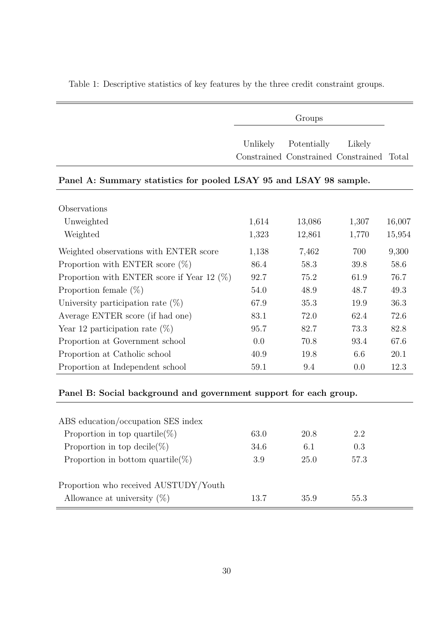Table 1: Descriptive statistics of key features by the three credit constraint groups.

Groups

Unlikely Potentially Likely Constrained Constrained Constrained Total

#### Panel A: Summary statistics for pooled LSAY 95 and LSAY 98 sample.

| Observations                                  |       |        |       |        |
|-----------------------------------------------|-------|--------|-------|--------|
| Unweighted                                    | 1,614 | 13,086 | 1,307 | 16,007 |
| Weighted                                      | 1,323 | 12,861 | 1,770 | 15,954 |
| Weighted observations with ENTER score        | 1,138 | 7,462  | 700   | 9,300  |
| Proportion with ENTER score $(\%)$            | 86.4  | 58.3   | 39.8  | 58.6   |
| Proportion with ENTER score if Year 12 $(\%)$ | 92.7  | 75.2   | 61.9  | 76.7   |
| Proportion female $(\%)$                      | 54.0  | 48.9   | 48.7  | 49.3   |
| University participation rate $(\%)$          | 67.9  | 35.3   | 19.9  | 36.3   |
| Average ENTER score (if had one)              | 83.1  | 72.0   | 62.4  | 72.6   |
| Year 12 participation rate $(\%)$             | 95.7  | 82.7   | 73.3  | 82.8   |
| Proportion at Government school               | 0.0   | 70.8   | 93.4  | 67.6   |
| Proportion at Catholic school                 | 40.9  | 19.8   | 6.6   | 20.1   |
| Proportion at Independent school              | 59.1  | 9.4    | 0.0   | 12.3   |

## Panel B: Social background and government support for each group.

| ABS education/occupation SES index    |      |      |      |
|---------------------------------------|------|------|------|
| Proportion in top quartile(%)         | 63.0 | 20.8 | 2.2  |
| Proportion in top decile(%)           | 34.6 | 6.1  | 0.3  |
| Proportion in bottom quartile(%)      | 3.9  | 25.0 | 57.3 |
| Proportion who received AUSTUDY/Youth |      |      |      |
| Allowance at university $(\%)$        | 13.7 | 35.9 | 55.3 |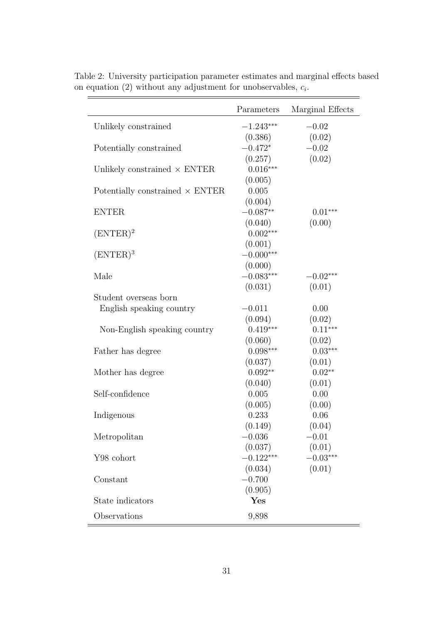|                                        | Parameters  | Marginal Effects |
|----------------------------------------|-------------|------------------|
| Unlikely constrained                   | $-1.243***$ | $-0.02$          |
|                                        | (0.386)     | (0.02)           |
| Potentially constrained                | $-0.472*$   | $-0.02$          |
|                                        | (0.257)     | (0.02)           |
| Unlikely constrained $\times$ ENTER    | $0.016***$  |                  |
|                                        | (0.005)     |                  |
| Potentially constrained $\times$ ENTER | 0.005       |                  |
|                                        | (0.004)     |                  |
| <b>ENTER</b>                           | $-0.087**$  | $0.01***$        |
|                                        | (0.040)     | (0.00)           |
| $(ENTER)^2$                            | $0.002***$  |                  |
|                                        | (0.001)     |                  |
| $(ENTER)^3$                            | $-0.000***$ |                  |
|                                        | (0.000)     |                  |
| Male                                   | $-0.083***$ | $-0.02***$       |
|                                        | (0.031)     | (0.01)           |
| Student overseas born                  |             |                  |
| English speaking country               | $-0.011$    | 0.00             |
|                                        | (0.094)     | (0.02)           |
| Non-English speaking country           | $0.419***$  | $0.11***$        |
|                                        | (0.060)     | (0.02)           |
| Father has degree                      | $0.098***$  | $0.03***$        |
|                                        | (0.037)     | (0.01)           |
| Mother has degree                      | $0.092**$   | $0.02**$         |
|                                        | (0.040)     | (0.01)           |
| Self-confidence                        | 0.005       | 0.00             |
|                                        | (0.005)     | (0.00)           |
| Indigenous                             | 0.233       | 0.06             |
|                                        | (0.149)     | (0.04)           |
| Metropolitan                           | $-0.036$    | $-0.01$          |
|                                        | (0.037)     | (0.01)           |
| Y98 cohort                             | $-0.122***$ | $-0.03***$       |
|                                        | (0.034)     | (0.01)           |
| Constant                               | $-0.700$    |                  |
|                                        | (0.905)     |                  |
| State indicators                       | Yes         |                  |
| Observations                           | 9,898       |                  |

Table 2: University participation parameter estimates and marginal effects based on equation (2) without any adjustment for unobservables,  $c_i$ .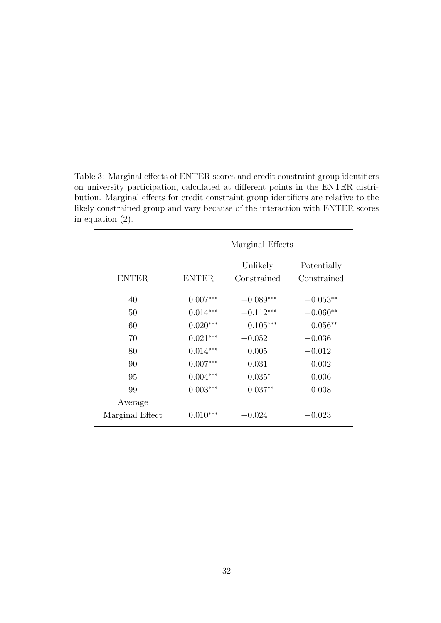| Table 3: Marginal effects of ENTER scores and credit constraint group identifiers    |
|--------------------------------------------------------------------------------------|
| on university participation, calculated at different points in the ENTER distri-     |
| bution. Marginal effects for credit constraint group identifiers are relative to the |
| likely constrained group and vary because of the interaction with ENTER scores       |
| in equation $(2)$ .                                                                  |
|                                                                                      |

|                 |              | Marginal Effects        |                            |
|-----------------|--------------|-------------------------|----------------------------|
| <b>ENTER</b>    | <b>ENTER</b> | Unlikely<br>Constrained | Potentially<br>Constrained |
|                 |              |                         |                            |
| 40              | $0.007***$   | $-0.089***$             | $-0.053**$                 |
| 50              | $0.014***$   | $-0.112***$             | $-0.060**$                 |
| 60              | $0.020***$   | $-0.105***$             | $-0.056**$                 |
| 70              | $0.021***$   | $-0.052$                | $-0.036$                   |
| 80              | $0.014***$   | 0.005                   | $-0.012$                   |
| 90              | $0.007***$   | 0.031                   | 0.002                      |
| 95              | $0.004***$   | $0.035*$                | 0.006                      |
| 99              | $0.003***$   | $0.037**$               | 0.008                      |
| Average         |              |                         |                            |
| Marginal Effect | $0.010***$   | $-0.024$                | $-0.023$                   |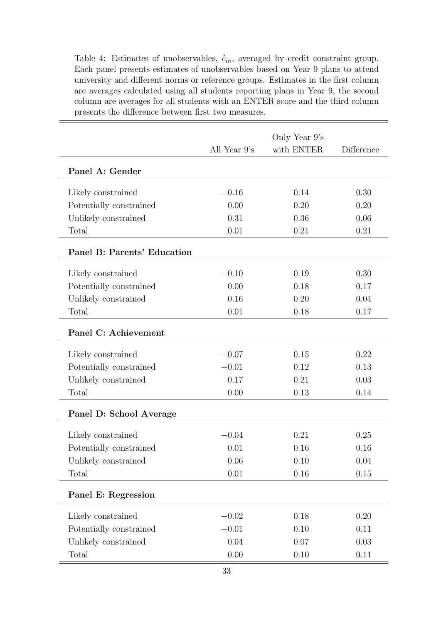Table 4: Estimates of unobservables,  $\hat{c}_{ih}$ , averaged by credit constraint group. Each panel presents estimates of unobservables based on Year 9 plans to attend university and different norms or reference groups. Estimates in the first column are averages calculated using all students reporting plans in Year 9, the second column are averages for all students with an ENTER score and the third column presents the difference between first two measures.

|                             | All Year $9's$ | Only Year 9's<br>with ENTER | Difference |
|-----------------------------|----------------|-----------------------------|------------|
| Panel A: Gender             |                |                             |            |
| Likely constrained          | $-0.16$        | 0.14                        | 0.30       |
| Potentially constrained     | 0.00           | 0.20                        | 0.20       |
| Unlikely constrained        | 0.31           | 0.36                        | 0.06       |
| Total                       | 0.01           | 0.21                        | 0.21       |
| Panel B: Parents' Education |                |                             |            |
| Likely constrained          | $-0.10$        | 0.19                        | 0.30       |
| Potentially constrained     | 0.00           | 0.18                        | 0.17       |
| Unlikely constrained        | 0.16           | 0.20                        | 0.04       |
| Total                       | 0.01           | 0.18                        | 0.17       |
| Panel C: Achievement        |                |                             |            |
| Likely constrained          | $-0.07$        | 0.15                        | 0.22       |
| Potentially constrained     | $-0.01$        | 0.12                        | 0.13       |
| Unlikely constrained        | 0.17           | 0.21                        | 0.03       |
| Total                       | 0.00           | 0.13                        | 0.14       |
| Panel D: School Average     |                |                             |            |
| Likely constrained          | $-0.04$        | 0.21                        | 0.25       |
| Potentially constrained     | 0.01           | 0.16                        | 0.16       |
| Unlikely constrained        | 0.06           | 0.10                        | 0.04       |
| Total                       | $0.01\,$       | 0.16                        | 0.15       |
| Panel E: Regression         |                |                             |            |
| Likely constrained          | $-0.02$        | 0.18                        | 0.20       |
| Potentially constrained     | $-0.01$        | 0.10                        | 0.11       |
| Unlikely constrained        | 0.04           | 0.07                        | 0.03       |
| Total                       | 0.00           | 0.10                        | 0.11       |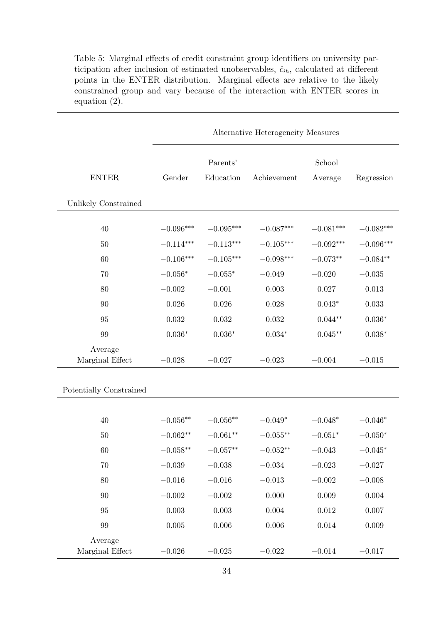Table 5: Marginal effects of credit constraint group identifiers on university participation after inclusion of estimated unobservables,  $\hat{c}_{ih}$ , calculated at different points in the ENTER distribution. Marginal effects are relative to the likely constrained group and vary because of the interaction with ENTER scores in equation (2).

|                            |             |                  | Alternative Heterogeneity Measures |             |                |
|----------------------------|-------------|------------------|------------------------------------|-------------|----------------|
|                            |             | Parents'         |                                    | School      |                |
| <b>ENTER</b>               | Gender      | Education        | Achievement                        | Average     | Regression     |
| Unlikely Constrained       |             |                  |                                    |             |                |
| 40                         | $-0.096***$ | $-0.095***$      | $-0.087***$                        | $-0.081***$ | $-0.082***$    |
| $50\,$                     | $-0.114***$ | $-0.113***$      | $-0.105***$                        | $-0.092***$ | $-0.096***$    |
| 60                         | $-0.106***$ | $-0.105^{***}\,$ | $-0.098***$                        | $-0.073**$  | $-0.084**$     |
| 70                         | $-0.056*$   | $-0.055*$        | $-0.049$                           | $-0.020$    | $-0.035$       |
| 80                         | $-0.002$    | $-0.001$         | $0.003\,$                          | 0.027       | 0.013          |
| 90                         | 0.026       | 0.026            | 0.028                              | $0.043*$    | 0.033          |
| 95                         | 0.032       | 0.032            | $\,0.032\,$                        | $0.044**$   | $0.036^{\ast}$ |
| 99                         | $0.036*$    | $0.036^{\ast}$   | $0.034^{\ast}$                     | $0.045**$   | $0.038*$       |
| Average<br>Marginal Effect | $-0.028$    | $-0.027$         | $-0.023$                           | $-0.004$    | $-0.015$       |
| Potentially Constrained    |             |                  |                                    |             |                |
|                            |             |                  |                                    |             |                |
| 40                         | $-0.056**$  | $-0.056**$       | $-0.049*$                          | $-0.048*$   | $-0.046*$      |
| 50                         | $-0.062**$  | $-0.061**$       | $-0.055***$                        | $-0.051*$   | $-0.050*$      |
| 60                         | $-0.058**$  | $-0.057**$       | $-0.052**$                         | $-0.043$    | $-0.045*$      |
| 70                         | $-0.039\,$  | $-0.038$         | $-0.034$                           | $-0.023$    | $-0.027$       |
| 80                         | $-0.016$    | $-0.016$         | $-0.013$                           | $-0.002$    | $-0.008$       |
| 90                         | $-0.002$    | $-0.002$         | 0.000                              | 0.009       | 0.004          |
| 95                         | 0.003       | $0.003\,$        | $0.004\,$                          | 0.012       | 0.007          |
| $\boldsymbol{99}$          | $0.005\,$   | $0.006\,$        | 0.006                              | $\,0.014\,$ | 0.009          |
| Average<br>Marginal Effect | $-0.026$    | $-0.025$         | $-0.022$                           | $-0.014$    | $-0.017$       |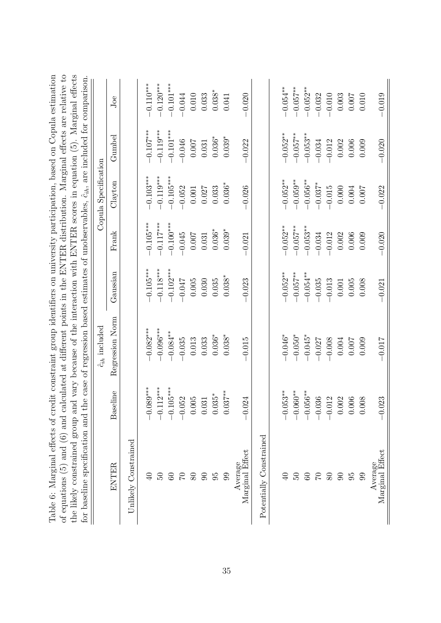| Table 6: Marginal effects of credit constraint group identifiers on university participation, based on Copula estimation<br>of equations (5) and (6) and calculated at different points in the ENTER distribution. Marginal effects are relative to<br>the likely constrained group and vary because of the interaction with ENTER scores in equation (5). Marginal effects<br>for baseline specification and the case of regression based estimates of unobservables, $\hat{c}_{ih}$ , are included for comparison |                    |                         |                |             |                      |             |                |
|---------------------------------------------------------------------------------------------------------------------------------------------------------------------------------------------------------------------------------------------------------------------------------------------------------------------------------------------------------------------------------------------------------------------------------------------------------------------------------------------------------------------|--------------------|-------------------------|----------------|-------------|----------------------|-------------|----------------|
|                                                                                                                                                                                                                                                                                                                                                                                                                                                                                                                     |                    | $\hat{c}_{ih}$ included |                |             | Copula Specification |             |                |
| ENTER                                                                                                                                                                                                                                                                                                                                                                                                                                                                                                               | Baseline           | Regression<br>Norm      | Gaussian       | Frank       | Clayton              | Gumbel      | Joe            |
| Unlikely Constrained                                                                                                                                                                                                                                                                                                                                                                                                                                                                                                |                    |                         |                |             |                      |             |                |
|                                                                                                                                                                                                                                                                                                                                                                                                                                                                                                                     | $-0.089***$        | $-0.082***$             | $-0.105***$    | $-0.105***$ | $-0.103***$          | $-0.107***$ | $-0.110***$    |
| 50                                                                                                                                                                                                                                                                                                                                                                                                                                                                                                                  | $-0.112***$        | $-0.096***$             | $-0.118***$    | $-0.117***$ | $-0.119***$          | $-0.119***$ | $-0.120***$    |
| $60\,$                                                                                                                                                                                                                                                                                                                                                                                                                                                                                                              | $-0.105***$        | $-0.084***$             | $-0.102***$    | $-0.100***$ | $-0.105***$          | $-0.101***$ | $-0.101***$    |
| $\overline{C}$                                                                                                                                                                                                                                                                                                                                                                                                                                                                                                      | $-0.052$           | $-0.035$                | $-0.047$       | $-0.045$    | $-0.052$             | $-0.046$    | $-0.044$       |
| 80                                                                                                                                                                                                                                                                                                                                                                                                                                                                                                                  |                    | 0.013                   | 0.005          | 0.007       | 0.001                | 0.007       | 0.010          |
| 90                                                                                                                                                                                                                                                                                                                                                                                                                                                                                                                  | $0.005$<br>$0.031$ | 0.033                   | 0.030          | 0.031       | 0.027                | 0.031       | 0.033          |
| 95                                                                                                                                                                                                                                                                                                                                                                                                                                                                                                                  | $0.035*$           | $0.036*$                | 0.035          | $0.036*$    | 0.033                | $0.036*$    | $0.038^{\ast}$ |
| 99                                                                                                                                                                                                                                                                                                                                                                                                                                                                                                                  | $0.037***$         | $0.038*$                | $0.038^{\ast}$ | $0.039*$    | $0.036*$             | $0.039*$    | 0.041          |
| Marginal Effect<br>Average                                                                                                                                                                                                                                                                                                                                                                                                                                                                                          | $-0.024$           | $-0.015$                | $-0.023$       | $-0.021$    | $-0.026$             | $-0.022$    | $-0.020$       |
| Potentially Constrained                                                                                                                                                                                                                                                                                                                                                                                                                                                                                             |                    |                         |                |             |                      |             |                |
| $\theta$                                                                                                                                                                                                                                                                                                                                                                                                                                                                                                            | $-0.053***$        | $-0.046*$               | $-0.052**$     | $-0.052***$ | $-0.052***$          | $-0.052***$ | $-0.054***$    |
| 50                                                                                                                                                                                                                                                                                                                                                                                                                                                                                                                  | $-0.060**$         | $-0.050*$               | $-0.057***$    | $-0.057***$ | $-0.059***$          | $-0.057***$ | $-0.057***$    |
| 60                                                                                                                                                                                                                                                                                                                                                                                                                                                                                                                  | $-0.056***$        | $-0.045*$               | $-0.054***$    | $-0.053***$ | $-0.056***$          | $-0.053***$ | $-0.052***$    |
| 01                                                                                                                                                                                                                                                                                                                                                                                                                                                                                                                  | $-0.036$           | $-0.027$                | $-0.035$       | $-0.034$    | $-0.037*$            | $-0.034$    | $-0.032$       |
| 80                                                                                                                                                                                                                                                                                                                                                                                                                                                                                                                  | $-0.012$           | $-0.008$                | $-0.013$       | $-0.012$    | $-0.015$             | $-0.012$    | $-0.010$       |
| 90                                                                                                                                                                                                                                                                                                                                                                                                                                                                                                                  | $0.002$<br>$0.006$ | 0.004                   | 0.001          | 0.002       | 0.000                | 0.002       | 0.003          |
| 95                                                                                                                                                                                                                                                                                                                                                                                                                                                                                                                  |                    | 0.007                   | 0.005          | 0.006       | 0.004                | 0.006       | 0.007          |
| 99                                                                                                                                                                                                                                                                                                                                                                                                                                                                                                                  | 0.008              | 0.009                   | 0.008          | 0.009       | 0.007                | 0.009       | 0.010          |
| Average<br>Marginal Effect                                                                                                                                                                                                                                                                                                                                                                                                                                                                                          | $-0.023$           | $-0.017$                | $-0.021$       | $-0.020$    | $-0.022$             | $-0.020$    | $-0.019$       |
|                                                                                                                                                                                                                                                                                                                                                                                                                                                                                                                     |                    |                         |                |             |                      |             |                |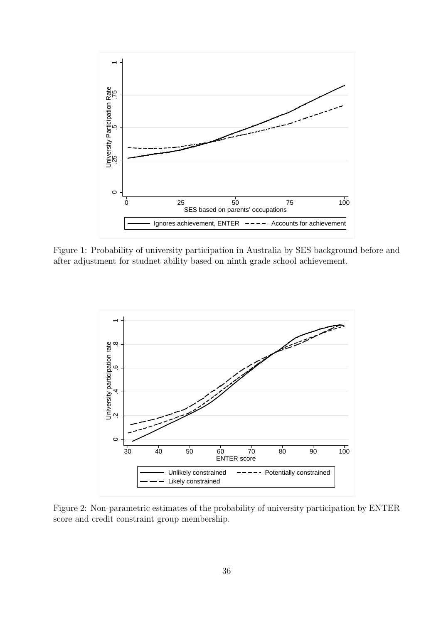

Figure 1: Probability of university participation in Australia by SES background before and after adjustment for studnet ability based on ninth grade school achievement.



Figure 2: Non-parametric estimates of the probability of university participation by ENTER score and credit constraint group membership.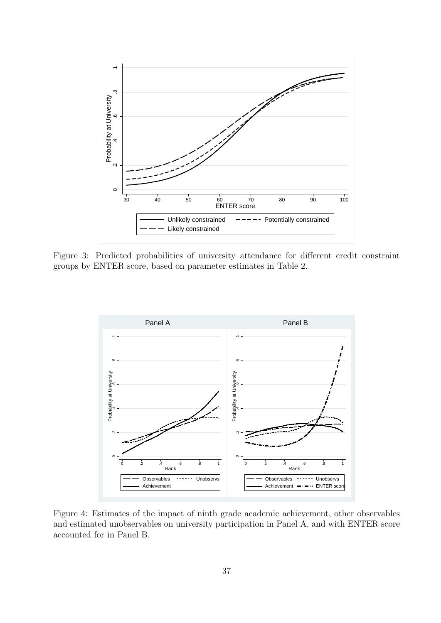

Figure 3: Predicted probabilities of university attendance for different credit constraint groups by ENTER score, based on parameter estimates in Table 2.



Figure 4: Estimates of the impact of ninth grade academic achievement, other observables and estimated unobservables on university participation in Panel A, and with ENTER score accounted for in Panel B.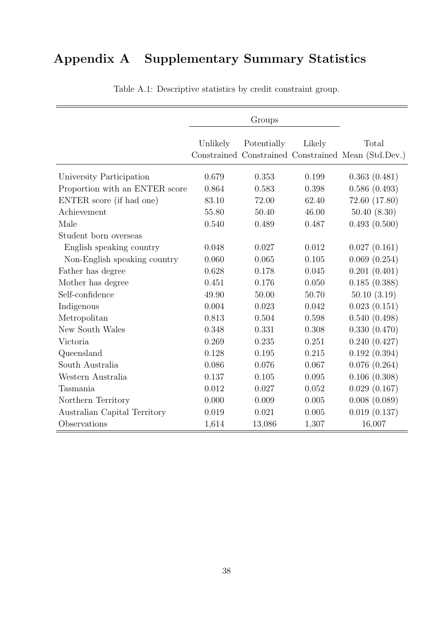# Appendix A Supplementary Summary Statistics

|                                |          | Groups      |        |                                                              |
|--------------------------------|----------|-------------|--------|--------------------------------------------------------------|
|                                | Unlikely | Potentially | Likely | Total<br>Constrained Constrained Constrained Mean (Std.Dev.) |
| University Participation       | 0.679    | 0.353       | 0.199  | 0.363(0.481)                                                 |
| Proportion with an ENTER score | 0.864    | 0.583       | 0.398  | 0.586(0.493)                                                 |
| ENTER score (if had one)       | 83.10    | 72.00       | 62.40  | 72.60 (17.80)                                                |
| Achievement                    | 55.80    | 50.40       | 46.00  | 50.40(8.30)                                                  |
| Male                           | 0.540    | 0.489       | 0.487  | 0.493(0.500)                                                 |
| Student born overseas          |          |             |        |                                                              |
| English speaking country       | 0.048    | 0.027       | 0.012  | 0.027(0.161)                                                 |
| Non-English speaking country   | 0.060    | 0.065       | 0.105  | 0.069(0.254)                                                 |
| Father has degree              | 0.628    | 0.178       | 0.045  | 0.201(0.401)                                                 |
| Mother has degree              | 0.451    | 0.176       | 0.050  | 0.185(0.388)                                                 |
| Self-confidence                | 49.90    | 50.00       | 50.70  | 50.10(3.19)                                                  |
| Indigenous                     | 0.004    | 0.023       | 0.042  | 0.023(0.151)                                                 |
| Metropolitan                   | 0.813    | 0.504       | 0.598  | 0.540(0.498)                                                 |
| New South Wales                | 0.348    | 0.331       | 0.308  | 0.330(0.470)                                                 |
| Victoria                       | 0.269    | 0.235       | 0.251  | 0.240(0.427)                                                 |
| Queensland                     | 0.128    | 0.195       | 0.215  | 0.192(0.394)                                                 |
| South Australia                | 0.086    | 0.076       | 0.067  | 0.076(0.264)                                                 |
| Western Australia              | 0.137    | 0.105       | 0.095  | 0.106(0.308)                                                 |
| Tasmania                       | 0.012    | 0.027       | 0.052  | 0.029(0.167)                                                 |
| Northern Territory             | 0.000    | 0.009       | 0.005  | 0.008(0.089)                                                 |
| Australian Capital Territory   | 0.019    | 0.021       | 0.005  | 0.019(0.137)                                                 |
| Observations                   | 1,614    | 13,086      | 1,307  | 16,007                                                       |

Table A.1: Descriptive statistics by credit constraint group.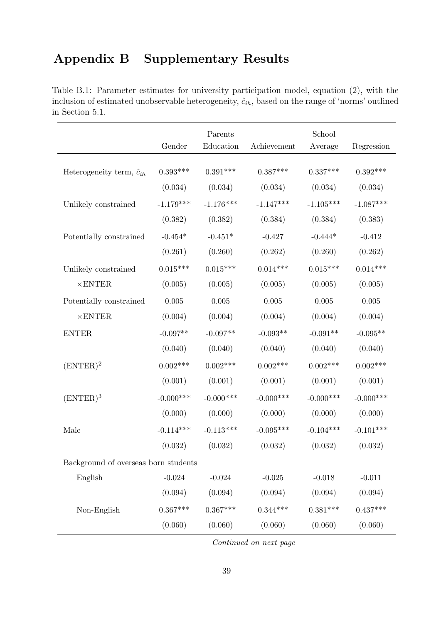# Appendix B Supplementary Results

Table B.1: Parameter estimates for university participation model, equation (2), with the inclusion of estimated unobservable heterogeneity,  $\hat{c}_{ih}$ , based on the range of 'norms' outlined in Section 5.1.

|                                      |             | Parents      |             | School      |             |
|--------------------------------------|-------------|--------------|-------------|-------------|-------------|
|                                      | Gender      | Education    | Achievement | Average     | Regression  |
| Heterogeneity term, $\hat{c}_{ih}$   | $0.393***$  | $0.391***$   | $0.387***$  | $0.337***$  | $0.392***$  |
|                                      | (0.034)     | (0.034)      | (0.034)     | (0.034)     | (0.034)     |
| Unlikely constrained                 | $-1.179***$ | $-1.176***$  | $-1.147***$ | $-1.105***$ | $-1.087***$ |
|                                      | (0.382)     | (0.382)      | (0.384)     | (0.384)     | (0.383)     |
| Potentially constrained              | $-0.454*$   | $-0.451*$    | $-0.427$    | $-0.444*$   | $-0.412$    |
|                                      | (0.261)     | (0.260)      | (0.262)     | (0.260)     | (0.262)     |
| Unlikely constrained                 | $0.015***$  | $0.015***$   | $0.014***$  | $0.015***$  | $0.014***$  |
| $\times$ ENTER                       | (0.005)     | (0.005)      | (0.005)     | (0.005)     | (0.005)     |
| Potentially constrained              | 0.005       | 0.005        | 0.005       | 0.005       | $0.005\,$   |
| $\times$ ENTER                       | (0.004)     | (0.004)      | (0.004)     | (0.004)     | (0.004)     |
| <b>ENTER</b>                         | $-0.097**$  | $-0.097**$   | $-0.093**$  | $-0.091**$  | $-0.095**$  |
|                                      | (0.040)     | (0.040)      | (0.040)     | (0.040)     | (0.040)     |
| $(ENTER)^2$                          | $0.002***$  | $0.002***$   | $0.002***$  | $0.002***$  | $0.002***$  |
|                                      | (0.001)     | (0.001)      | (0.001)     | (0.001)     | (0.001)     |
| $(ENTER)^3$                          | $-0.000***$ | $-0.000$ *** | $-0.000***$ | $-0.000***$ | $-0.000***$ |
|                                      | (0.000)     | (0.000)      | (0.000)     | (0.000)     | (0.000)     |
| Male                                 | $-0.114***$ | $-0.113***$  | $-0.095***$ | $-0.104***$ | $-0.101***$ |
|                                      | (0.032)     | (0.032)      | (0.032)     | (0.032)     | (0.032)     |
| Background of overseas born students |             |              |             |             |             |
| English                              | $-0.024$    | $-0.024$     | $-0.025$    | $-0.018$    | $-0.011$    |
|                                      | (0.094)     | (0.094)      | (0.094)     | (0.094)     | (0.094)     |
| Non-English                          | $0.367***$  | $0.367***$   | $0.344***$  | $0.381***$  | $0.437***$  |
|                                      | (0.060)     | (0.060)      | (0.060)     | (0.060)     | (0.060)     |

Continued on next page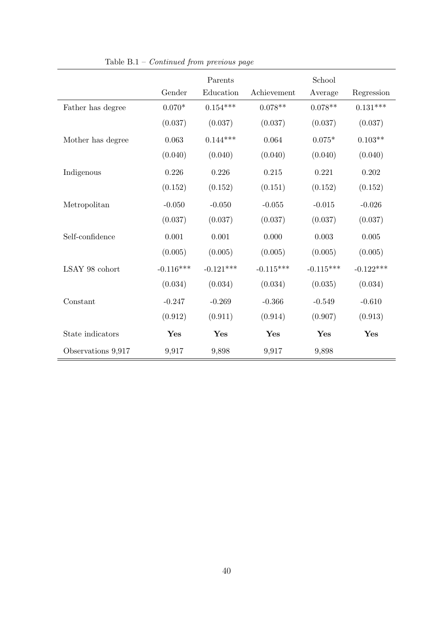|                    |             | Parents     |             | School      |             |
|--------------------|-------------|-------------|-------------|-------------|-------------|
|                    | Gender      | Education   | Achievement | Average     | Regression  |
| Father has degree  | $0.070*$    | $0.154***$  | $0.078**$   | $0.078**$   | $0.131***$  |
|                    | (0.037)     | (0.037)     | (0.037)     | (0.037)     | (0.037)     |
| Mother has degree  | 0.063       | $0.144***$  | 0.064       | $0.075*$    | $0.103**$   |
|                    | (0.040)     | (0.040)     | (0.040)     | (0.040)     | (0.040)     |
| Indigenous         | 0.226       | 0.226       | 0.215       | 0.221       | 0.202       |
|                    | (0.152)     | (0.152)     | (0.151)     | (0.152)     | (0.152)     |
| Metropolitan       | $-0.050$    | $-0.050$    | $-0.055$    | $-0.015$    | $-0.026$    |
|                    | (0.037)     | (0.037)     | (0.037)     | (0.037)     | (0.037)     |
| Self-confidence    | 0.001       | 0.001       | 0.000       | 0.003       | 0.005       |
|                    | (0.005)     | (0.005)     | (0.005)     | (0.005)     | (0.005)     |
| LSAY 98 cohort     | $-0.116***$ | $-0.121***$ | $-0.115***$ | $-0.115***$ | $-0.122***$ |
|                    | (0.034)     | (0.034)     | (0.034)     | (0.035)     | (0.034)     |
| Constant           | $-0.247$    | $-0.269$    | $-0.366$    | $-0.549$    | $-0.610$    |
|                    | (0.912)     | (0.911)     | (0.914)     | (0.907)     | (0.913)     |
| State indicators   | Yes         | Yes         | Yes         | Yes         | Yes         |
| Observations 9,917 | 9,917       | 9,898       | 9,917       | 9,898       |             |

Table B.1 – Continued from previous page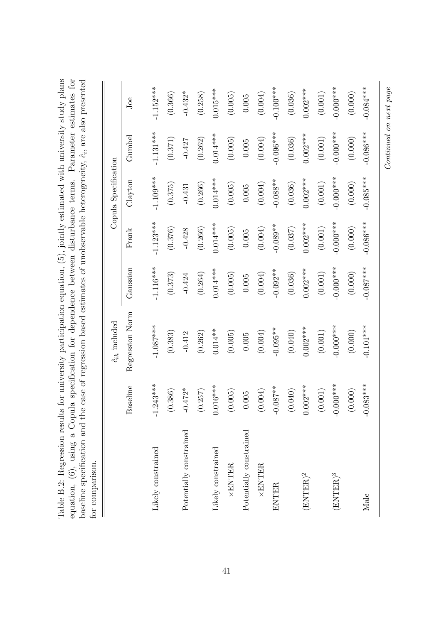|                         |              | $\hat{c}_{ih}$ included |                       |                       | Copula Specification  |                       |                       |
|-------------------------|--------------|-------------------------|-----------------------|-----------------------|-----------------------|-----------------------|-----------------------|
|                         | Baseline     | Regression Norm         | Gaussian              | Frank                 | Clayton               | ${\rm Gumbel}$        | Joe                   |
| Likely constrained      | $.243***$    | $-1.087***$             | $-1.116***$           | $-1.123***$           | $-1.109***$           | $-1.131***$           | $-1.152***$           |
|                         | (0.386)      | (0.383)                 | (0.373)               | (0.376)               | (0.375)               | (0.371)               | (0.366)               |
| Potentially constrained | $-0.472*$    | $-0.412$                | $-0.424$              | $-0.428$              | $-0.431$              | $-0.427$              | $-0.432*$             |
|                         | 0.257)       | (0.262)                 | (0.264)               | (0.266)               | (0.266)               | (0.262)               | (0.258)               |
| Likely constrained      | $0.016***$   | $0.014**$               | $0.014***$            | $0.014***$            | $0.014***$            | $0.014***$            | $0.015***$            |
| <b>×ENTER</b>           | (0.005)      | (0.005)                 | (0.005)               | (0.005)               | (0.005)               | (0.005)               | (0.005)               |
| Potentially constrained | 0.005        | $0.005\,$               | $0.005\,$             | $0.005\,$             | 0.005                 | 0.005                 | $0.005\,$             |
| ×ENTER                  | 0.004)       | (0.004)                 | (0.004)               | (0.004)               | (0.004)               | (0.004)               | (0.004)               |
| ENTER                   | $-0.087**$   | $-0.095**$              | $-0.092**$            | $-0.089**$            | $-0.088**$            | $-0.096***$           | $-0.100***$           |
|                         | 0.040)       | (0.040)                 | (0.036)               | (0.037)               | (0.036)               | (0.036)               | (0.036)               |
| $(ENTER)^2$             | $0.002***$   | $0.002***$              | $0.002***$            | $0.002***$            | $0.002***$            | $0.002***$            | $0.002***$            |
|                         | (0.001)      | $\left( 0.001\right)$   | $\left( 0.001\right)$ | $\left( 0.001\right)$ | $\left( 0.001\right)$ | $\left( 0.001\right)$ | $\left( 0.001\right)$ |
| $(ENTER)^3$             | $-0.000$ *** | $-0.000***$             | $-0.000$ ***          | $-0.0001$             | $-0.000$              | $-0.000$ ***          | $-0.000$ ***          |
|                         | (0.000)      | (0.000)                 | (0.000)               | (0.000)               | (0.000)               | (0.000)               | (0.000)               |
| Male                    | $-0.083***$  | $-0.101***$             | $-0.087***$           | $-0.086***$           | $-0.085***$           | $-0.086***$           | $-0.084***$           |
|                         |              |                         |                       |                       |                       |                       |                       |

Continued on next page

 $Continued\ on\ next\ page$ 

Table B.2: Regression results for university participation equation,  $(5)$ , jointly estimated with university study plans Table B.2: Regression results for university participation equation, (5), jointly estimated with university study plans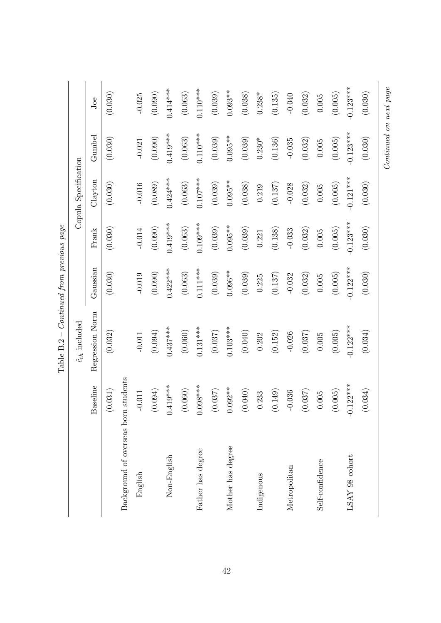|                                      |                 | ACTE DIST               | Shal encant inn homensa |             |                      |             |             |
|--------------------------------------|-----------------|-------------------------|-------------------------|-------------|----------------------|-------------|-------------|
|                                      |                 | $\hat{c}_{ih}$ included |                         |             | Copula Specification |             |             |
|                                      | <b>Baseline</b> | Regression Norm         | Gaussian                | Frank       | Clayton              | Gumbel      | Joe         |
|                                      | (0.031)         | (0.032)                 | (0.030)                 | (0.030)     | (0.030)              | (0.030)     | (0.030)     |
| Background of overseas born students |                 |                         |                         |             |                      |             |             |
| English                              | $-0.011$        | $-0.011$                | $-0.019$                | $-0.014$    | $-0.016$             | $-0.021$    | $-0.025$    |
|                                      | (0.094)         | (0.094)                 | (0.090)                 | (0.090)     | (0.089)              | (0.090)     | (0.090)     |
| Non-English                          | $0.419***$      | $0.437***$              | $0.422***$              | $0.419***$  | $0.424***$           | $0.419***$  | $0.414***$  |
|                                      | (0.060)         | (0.060)                 | (0.063)                 | (0.063)     | (0.063)              | (0.063)     | (0.063)     |
| Father has degree                    | $0.098***$      | $0.131***$              | $0.111***$              | $0.109***$  | $0.107***$           | $0.110***$  | $0.110***$  |
|                                      | (0.037)         | (0.037)                 | (0.039)                 | (0.039)     | (0.039)              | (0.039)     | (0.039)     |
| Mother has degree                    | $0.092**$       | $0.103***$              | $0.096**$               | $0.095**$   | $0.095**$            | $0.095**$   | $0.093**$   |
|                                      | (0.040)         | (0.040)                 | (0.039)                 | (0.039)     | (0.038)              | (0.039)     | (0.038)     |
| Indigenous                           | 0.233           | 0.202                   | 0.225                   | 0.221       | 0.219                | $0.230*$    | $0.238*$    |
|                                      | (0.149)         | (0.152)                 | (0.137)                 | (0.138)     | (0.137)              | (0.136)     | (0.135)     |
| Metropolitan                         | $-0.036$        | $-0.026$                | $-0.032$                | $-0.033$    | $-0.028$             | $-0.035$    | $-0.040$    |
|                                      | (0.037)         | (0.037)                 | (0.032)                 | (0.032)     | (0.032)              | (0.032)     | (0.032)     |
| Self-confidence                      | 0.005           | $0.005\,$               | $0.005\,$               | $0.005\,$   | 0.005                | $0.005\,$   | 0.005       |
|                                      | (0.005)         | (0.005)                 | (0.005)                 | (0.005)     | (0.005)              | (0.005)     | (0.005)     |
| LSAY 98 cohort                       | $0.122***$<br>T | $-0.122***$             | $-0.122***$             | $-0.123***$ | $-0.121***$          | $-0.123***$ | $-0.123***$ |
|                                      | (0.034)         | (0.034)                 | (0.030)                 | (0.030)     | (0.030)              | (0.030)     | (0.030)     |

Continued on next page

 $Continued\ on\ next\ page$ 

Table  $B.2 -$  Continued from previous page Table  $B.2 -$  Continued from previous page